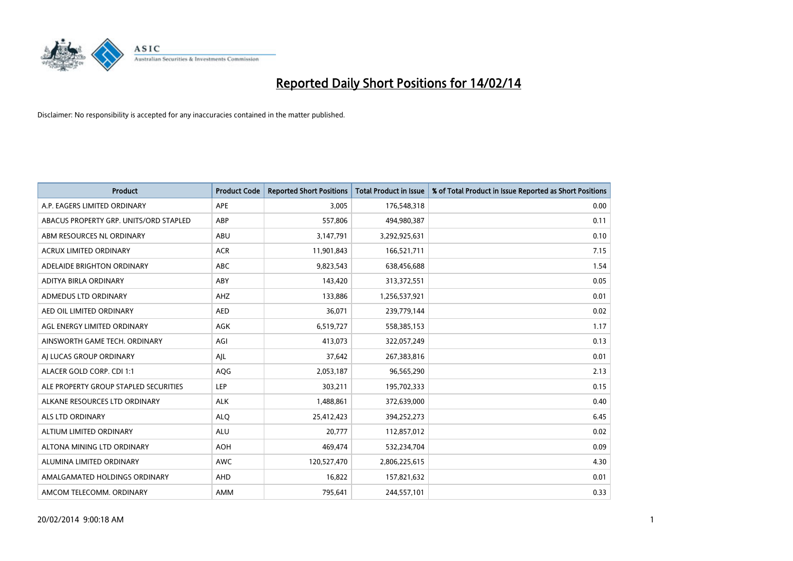

| <b>Product</b>                         | <b>Product Code</b> | <b>Reported Short Positions</b> | <b>Total Product in Issue</b> | % of Total Product in Issue Reported as Short Positions |
|----------------------------------------|---------------------|---------------------------------|-------------------------------|---------------------------------------------------------|
| A.P. EAGERS LIMITED ORDINARY           | APE                 | 3,005                           | 176,548,318                   | 0.00                                                    |
| ABACUS PROPERTY GRP. UNITS/ORD STAPLED | ABP                 | 557,806                         | 494,980,387                   | 0.11                                                    |
| ABM RESOURCES NL ORDINARY              | ABU                 | 3,147,791                       | 3,292,925,631                 | 0.10                                                    |
| ACRUX LIMITED ORDINARY                 | <b>ACR</b>          | 11,901,843                      | 166,521,711                   | 7.15                                                    |
| ADELAIDE BRIGHTON ORDINARY             | <b>ABC</b>          | 9,823,543                       | 638,456,688                   | 1.54                                                    |
| ADITYA BIRLA ORDINARY                  | ABY                 | 143,420                         | 313,372,551                   | 0.05                                                    |
| ADMEDUS LTD ORDINARY                   | AHZ                 | 133,886                         | 1,256,537,921                 | 0.01                                                    |
| AED OIL LIMITED ORDINARY               | <b>AED</b>          | 36,071                          | 239,779,144                   | 0.02                                                    |
| AGL ENERGY LIMITED ORDINARY            | <b>AGK</b>          | 6,519,727                       | 558,385,153                   | 1.17                                                    |
| AINSWORTH GAME TECH. ORDINARY          | AGI                 | 413,073                         | 322,057,249                   | 0.13                                                    |
| AI LUCAS GROUP ORDINARY                | AJL                 | 37,642                          | 267,383,816                   | 0.01                                                    |
| ALACER GOLD CORP. CDI 1:1              | AQG                 | 2,053,187                       | 96,565,290                    | 2.13                                                    |
| ALE PROPERTY GROUP STAPLED SECURITIES  | <b>LEP</b>          | 303,211                         | 195,702,333                   | 0.15                                                    |
| ALKANE RESOURCES LTD ORDINARY          | <b>ALK</b>          | 1,488,861                       | 372,639,000                   | 0.40                                                    |
| ALS LTD ORDINARY                       | <b>ALQ</b>          | 25,412,423                      | 394,252,273                   | 6.45                                                    |
| ALTIUM LIMITED ORDINARY                | <b>ALU</b>          | 20,777                          | 112,857,012                   | 0.02                                                    |
| ALTONA MINING LTD ORDINARY             | <b>AOH</b>          | 469,474                         | 532,234,704                   | 0.09                                                    |
| ALUMINA LIMITED ORDINARY               | <b>AWC</b>          | 120,527,470                     | 2,806,225,615                 | 4.30                                                    |
| AMALGAMATED HOLDINGS ORDINARY          | AHD                 | 16,822                          | 157,821,632                   | 0.01                                                    |
| AMCOM TELECOMM. ORDINARY               | AMM                 | 795,641                         | 244,557,101                   | 0.33                                                    |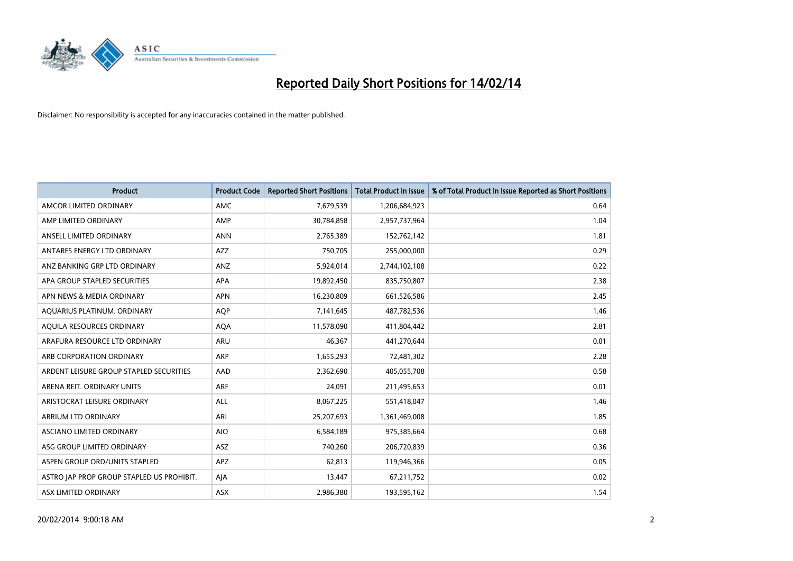

| <b>Product</b>                            | <b>Product Code</b> | <b>Reported Short Positions</b> | <b>Total Product in Issue</b> | % of Total Product in Issue Reported as Short Positions |
|-------------------------------------------|---------------------|---------------------------------|-------------------------------|---------------------------------------------------------|
| AMCOR LIMITED ORDINARY                    | AMC                 | 7,679,539                       | 1,206,684,923                 | 0.64                                                    |
| AMP LIMITED ORDINARY                      | AMP                 | 30,784,858                      | 2,957,737,964                 | 1.04                                                    |
| ANSELL LIMITED ORDINARY                   | <b>ANN</b>          | 2,765,389                       | 152,762,142                   | 1.81                                                    |
| ANTARES ENERGY LTD ORDINARY               | <b>AZZ</b>          | 750,705                         | 255,000,000                   | 0.29                                                    |
| ANZ BANKING GRP LTD ORDINARY              | ANZ                 | 5,924,014                       | 2,744,102,108                 | 0.22                                                    |
| APA GROUP STAPLED SECURITIES              | <b>APA</b>          | 19,892,450                      | 835,750,807                   | 2.38                                                    |
| APN NEWS & MEDIA ORDINARY                 | <b>APN</b>          | 16,230,809                      | 661,526,586                   | 2.45                                                    |
| AQUARIUS PLATINUM. ORDINARY               | <b>AOP</b>          | 7,141,645                       | 487,782,536                   | 1.46                                                    |
| AQUILA RESOURCES ORDINARY                 | <b>AQA</b>          | 11,578,090                      | 411,804,442                   | 2.81                                                    |
| ARAFURA RESOURCE LTD ORDINARY             | ARU                 | 46,367                          | 441,270,644                   | 0.01                                                    |
| ARB CORPORATION ORDINARY                  | ARP                 | 1,655,293                       | 72,481,302                    | 2.28                                                    |
| ARDENT LEISURE GROUP STAPLED SECURITIES   | AAD                 | 2,362,690                       | 405,055,708                   | 0.58                                                    |
| ARENA REIT. ORDINARY UNITS                | ARF                 | 24,091                          | 211,495,653                   | 0.01                                                    |
| ARISTOCRAT LEISURE ORDINARY               | ALL                 | 8,067,225                       | 551,418,047                   | 1.46                                                    |
| ARRIUM LTD ORDINARY                       | ARI                 | 25,207,693                      | 1,361,469,008                 | 1.85                                                    |
| ASCIANO LIMITED ORDINARY                  | <b>AIO</b>          | 6,584,189                       | 975,385,664                   | 0.68                                                    |
| ASG GROUP LIMITED ORDINARY                | ASZ                 | 740,260                         | 206,720,839                   | 0.36                                                    |
| ASPEN GROUP ORD/UNITS STAPLED             | <b>APZ</b>          | 62,813                          | 119,946,366                   | 0.05                                                    |
| ASTRO JAP PROP GROUP STAPLED US PROHIBIT. | AJA                 | 13,447                          | 67,211,752                    | 0.02                                                    |
| ASX LIMITED ORDINARY                      | ASX                 | 2,986,380                       | 193,595,162                   | 1.54                                                    |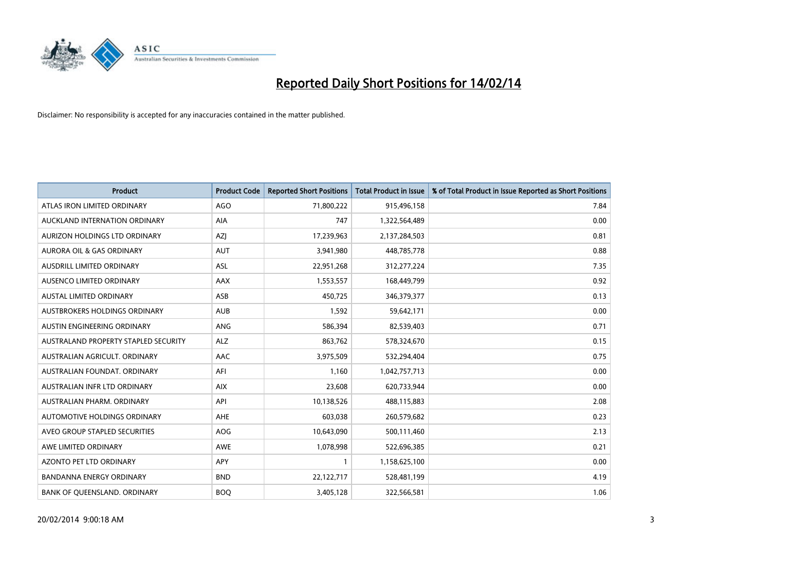

| <b>Product</b>                       | <b>Product Code</b> | <b>Reported Short Positions</b> | <b>Total Product in Issue</b> | % of Total Product in Issue Reported as Short Positions |
|--------------------------------------|---------------------|---------------------------------|-------------------------------|---------------------------------------------------------|
| ATLAS IRON LIMITED ORDINARY          | <b>AGO</b>          | 71,800,222                      | 915,496,158                   | 7.84                                                    |
| AUCKLAND INTERNATION ORDINARY        | AIA                 | 747                             | 1,322,564,489                 | 0.00                                                    |
| AURIZON HOLDINGS LTD ORDINARY        | AZJ                 | 17,239,963                      | 2,137,284,503                 | 0.81                                                    |
| <b>AURORA OIL &amp; GAS ORDINARY</b> | <b>AUT</b>          | 3,941,980                       | 448,785,778                   | 0.88                                                    |
| AUSDRILL LIMITED ORDINARY            | ASL                 | 22,951,268                      | 312,277,224                   | 7.35                                                    |
| AUSENCO LIMITED ORDINARY             | AAX                 | 1,553,557                       | 168,449,799                   | 0.92                                                    |
| <b>AUSTAL LIMITED ORDINARY</b>       | ASB                 | 450,725                         | 346, 379, 377                 | 0.13                                                    |
| AUSTBROKERS HOLDINGS ORDINARY        | <b>AUB</b>          | 1,592                           | 59,642,171                    | 0.00                                                    |
| AUSTIN ENGINEERING ORDINARY          | ANG                 | 586,394                         | 82,539,403                    | 0.71                                                    |
| AUSTRALAND PROPERTY STAPLED SECURITY | <b>ALZ</b>          | 863,762                         | 578,324,670                   | 0.15                                                    |
| AUSTRALIAN AGRICULT. ORDINARY        | AAC                 | 3,975,509                       | 532,294,404                   | 0.75                                                    |
| AUSTRALIAN FOUNDAT, ORDINARY         | AFI                 | 1,160                           | 1,042,757,713                 | 0.00                                                    |
| AUSTRALIAN INFR LTD ORDINARY         | <b>AIX</b>          | 23,608                          | 620,733,944                   | 0.00                                                    |
| AUSTRALIAN PHARM, ORDINARY           | API                 | 10,138,526                      | 488,115,883                   | 2.08                                                    |
| AUTOMOTIVE HOLDINGS ORDINARY         | <b>AHE</b>          | 603,038                         | 260,579,682                   | 0.23                                                    |
| AVEO GROUP STAPLED SECURITIES        | <b>AOG</b>          | 10,643,090                      | 500,111,460                   | 2.13                                                    |
| AWE LIMITED ORDINARY                 | AWE                 | 1,078,998                       | 522,696,385                   | 0.21                                                    |
| <b>AZONTO PET LTD ORDINARY</b>       | <b>APY</b>          | 1                               | 1,158,625,100                 | 0.00                                                    |
| <b>BANDANNA ENERGY ORDINARY</b>      | <b>BND</b>          | 22,122,717                      | 528,481,199                   | 4.19                                                    |
| BANK OF QUEENSLAND. ORDINARY         | <b>BOQ</b>          | 3,405,128                       | 322,566,581                   | 1.06                                                    |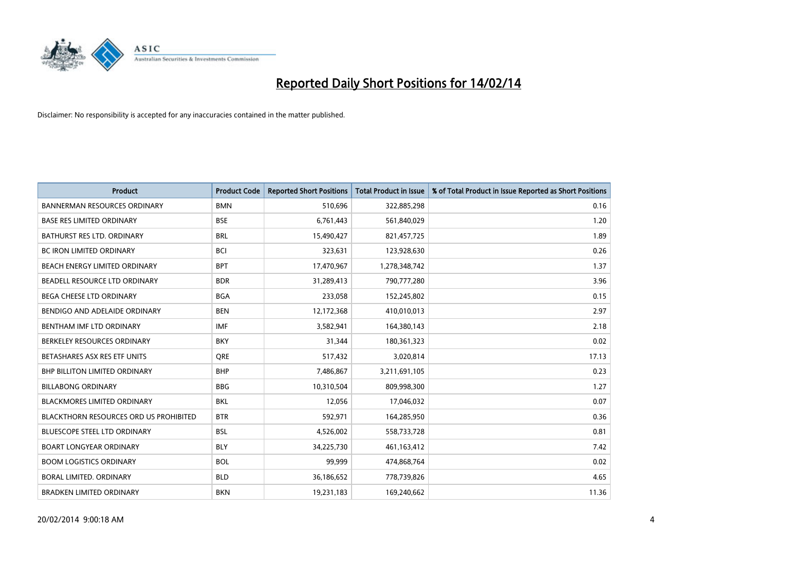

| <b>Product</b>                                | <b>Product Code</b> | <b>Reported Short Positions</b> | <b>Total Product in Issue</b> | % of Total Product in Issue Reported as Short Positions |
|-----------------------------------------------|---------------------|---------------------------------|-------------------------------|---------------------------------------------------------|
| <b>BANNERMAN RESOURCES ORDINARY</b>           | <b>BMN</b>          | 510,696                         | 322,885,298                   | 0.16                                                    |
| <b>BASE RES LIMITED ORDINARY</b>              | <b>BSE</b>          | 6,761,443                       | 561,840,029                   | 1.20                                                    |
| BATHURST RES LTD. ORDINARY                    | <b>BRL</b>          | 15,490,427                      | 821,457,725                   | 1.89                                                    |
| <b>BC IRON LIMITED ORDINARY</b>               | <b>BCI</b>          | 323,631                         | 123,928,630                   | 0.26                                                    |
| BEACH ENERGY LIMITED ORDINARY                 | <b>BPT</b>          | 17,470,967                      | 1,278,348,742                 | 1.37                                                    |
| BEADELL RESOURCE LTD ORDINARY                 | <b>BDR</b>          | 31,289,413                      | 790,777,280                   | 3.96                                                    |
| <b>BEGA CHEESE LTD ORDINARY</b>               | <b>BGA</b>          | 233,058                         | 152,245,802                   | 0.15                                                    |
| BENDIGO AND ADELAIDE ORDINARY                 | <b>BEN</b>          | 12,172,368                      | 410,010,013                   | 2.97                                                    |
| BENTHAM IMF LTD ORDINARY                      | <b>IMF</b>          | 3,582,941                       | 164,380,143                   | 2.18                                                    |
| BERKELEY RESOURCES ORDINARY                   | <b>BKY</b>          | 31,344                          | 180,361,323                   | 0.02                                                    |
| BETASHARES ASX RES ETF UNITS                  | <b>ORE</b>          | 517,432                         | 3,020,814                     | 17.13                                                   |
| BHP BILLITON LIMITED ORDINARY                 | <b>BHP</b>          | 7,486,867                       | 3,211,691,105                 | 0.23                                                    |
| <b>BILLABONG ORDINARY</b>                     | <b>BBG</b>          | 10,310,504                      | 809,998,300                   | 1.27                                                    |
| <b>BLACKMORES LIMITED ORDINARY</b>            | <b>BKL</b>          | 12,056                          | 17,046,032                    | 0.07                                                    |
| <b>BLACKTHORN RESOURCES ORD US PROHIBITED</b> | <b>BTR</b>          | 592,971                         | 164,285,950                   | 0.36                                                    |
| BLUESCOPE STEEL LTD ORDINARY                  | <b>BSL</b>          | 4,526,002                       | 558,733,728                   | 0.81                                                    |
| <b>BOART LONGYEAR ORDINARY</b>                | <b>BLY</b>          | 34,225,730                      | 461,163,412                   | 7.42                                                    |
| <b>BOOM LOGISTICS ORDINARY</b>                | <b>BOL</b>          | 99,999                          | 474,868,764                   | 0.02                                                    |
| <b>BORAL LIMITED, ORDINARY</b>                | <b>BLD</b>          | 36,186,652                      | 778,739,826                   | 4.65                                                    |
| <b>BRADKEN LIMITED ORDINARY</b>               | <b>BKN</b>          | 19,231,183                      | 169,240,662                   | 11.36                                                   |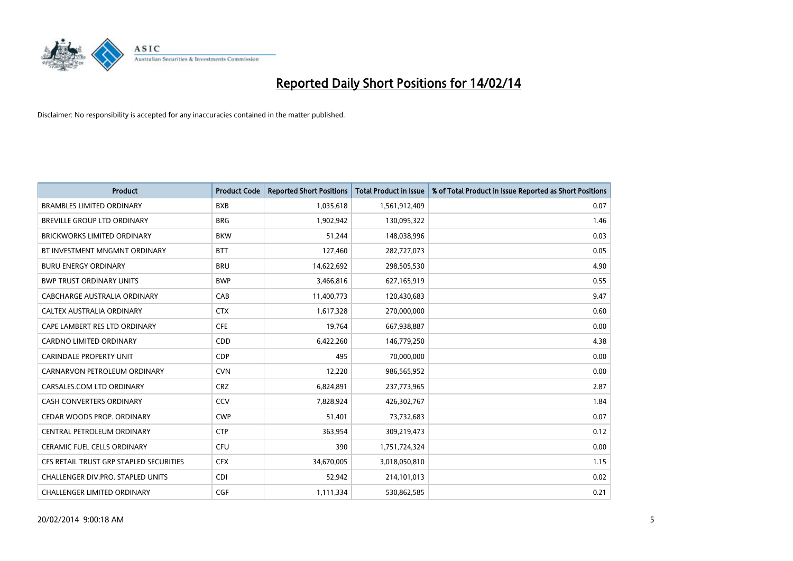

| <b>Product</b>                          | <b>Product Code</b> | <b>Reported Short Positions</b> | Total Product in Issue | % of Total Product in Issue Reported as Short Positions |
|-----------------------------------------|---------------------|---------------------------------|------------------------|---------------------------------------------------------|
| <b>BRAMBLES LIMITED ORDINARY</b>        | <b>BXB</b>          | 1,035,618                       | 1,561,912,409          | 0.07                                                    |
| BREVILLE GROUP LTD ORDINARY             | <b>BRG</b>          | 1,902,942                       | 130,095,322            | 1.46                                                    |
| <b>BRICKWORKS LIMITED ORDINARY</b>      | <b>BKW</b>          | 51,244                          | 148,038,996            | 0.03                                                    |
| BT INVESTMENT MNGMNT ORDINARY           | <b>BTT</b>          | 127,460                         | 282,727,073            | 0.05                                                    |
| <b>BURU ENERGY ORDINARY</b>             | <b>BRU</b>          | 14,622,692                      | 298,505,530            | 4.90                                                    |
| <b>BWP TRUST ORDINARY UNITS</b>         | <b>BWP</b>          | 3,466,816                       | 627,165,919            | 0.55                                                    |
| CABCHARGE AUSTRALIA ORDINARY            | CAB                 | 11,400,773                      | 120,430,683            | 9.47                                                    |
| CALTEX AUSTRALIA ORDINARY               | <b>CTX</b>          | 1,617,328                       | 270,000,000            | 0.60                                                    |
| CAPE LAMBERT RES LTD ORDINARY           | <b>CFE</b>          | 19,764                          | 667,938,887            | 0.00                                                    |
| <b>CARDNO LIMITED ORDINARY</b>          | CDD                 | 6,422,260                       | 146,779,250            | 4.38                                                    |
| <b>CARINDALE PROPERTY UNIT</b>          | <b>CDP</b>          | 495                             | 70,000,000             | 0.00                                                    |
| CARNARVON PETROLEUM ORDINARY            | <b>CVN</b>          | 12,220                          | 986,565,952            | 0.00                                                    |
| CARSALES.COM LTD ORDINARY               | <b>CRZ</b>          | 6,824,891                       | 237,773,965            | 2.87                                                    |
| <b>CASH CONVERTERS ORDINARY</b>         | CCV                 | 7,828,924                       | 426,302,767            | 1.84                                                    |
| CEDAR WOODS PROP. ORDINARY              | <b>CWP</b>          | 51,401                          | 73,732,683             | 0.07                                                    |
| CENTRAL PETROLEUM ORDINARY              | <b>CTP</b>          | 363,954                         | 309,219,473            | 0.12                                                    |
| <b>CERAMIC FUEL CELLS ORDINARY</b>      | <b>CFU</b>          | 390                             | 1,751,724,324          | 0.00                                                    |
| CFS RETAIL TRUST GRP STAPLED SECURITIES | <b>CFX</b>          | 34,670,005                      | 3,018,050,810          | 1.15                                                    |
| CHALLENGER DIV.PRO. STAPLED UNITS       | <b>CDI</b>          | 52,942                          | 214,101,013            | 0.02                                                    |
| <b>CHALLENGER LIMITED ORDINARY</b>      | <b>CGF</b>          | 1,111,334                       | 530,862,585            | 0.21                                                    |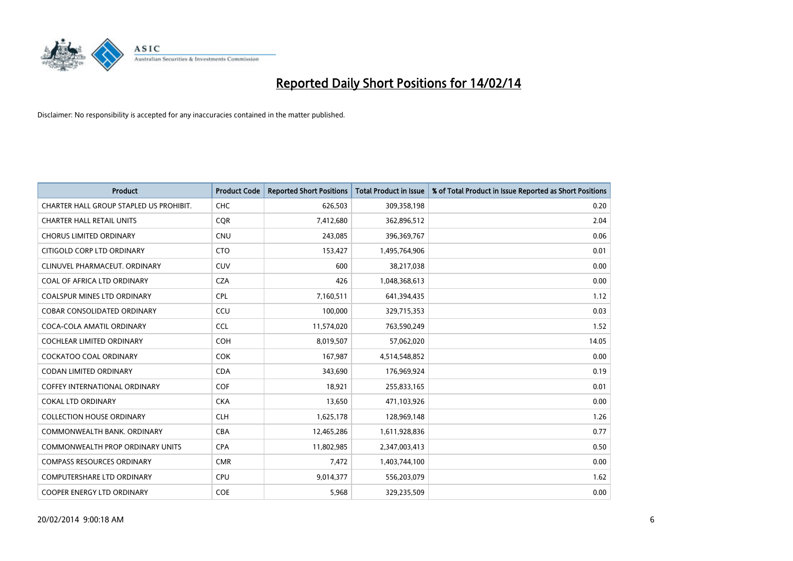

| <b>Product</b>                          | <b>Product Code</b> | <b>Reported Short Positions</b> | <b>Total Product in Issue</b> | % of Total Product in Issue Reported as Short Positions |
|-----------------------------------------|---------------------|---------------------------------|-------------------------------|---------------------------------------------------------|
| CHARTER HALL GROUP STAPLED US PROHIBIT. | <b>CHC</b>          | 626,503                         | 309,358,198                   | 0.20                                                    |
| <b>CHARTER HALL RETAIL UNITS</b>        | <b>COR</b>          | 7,412,680                       | 362,896,512                   | 2.04                                                    |
| <b>CHORUS LIMITED ORDINARY</b>          | <b>CNU</b>          | 243,085                         | 396,369,767                   | 0.06                                                    |
| CITIGOLD CORP LTD ORDINARY              | <b>CTO</b>          | 153,427                         | 1,495,764,906                 | 0.01                                                    |
| CLINUVEL PHARMACEUT, ORDINARY           | <b>CUV</b>          | 600                             | 38,217,038                    | 0.00                                                    |
| COAL OF AFRICA LTD ORDINARY             | <b>CZA</b>          | 426                             | 1,048,368,613                 | 0.00                                                    |
| <b>COALSPUR MINES LTD ORDINARY</b>      | <b>CPL</b>          | 7,160,511                       | 641,394,435                   | 1.12                                                    |
| <b>COBAR CONSOLIDATED ORDINARY</b>      | CCU                 | 100,000                         | 329,715,353                   | 0.03                                                    |
| COCA-COLA AMATIL ORDINARY               | <b>CCL</b>          | 11,574,020                      | 763,590,249                   | 1.52                                                    |
| <b>COCHLEAR LIMITED ORDINARY</b>        | <b>COH</b>          | 8,019,507                       | 57,062,020                    | 14.05                                                   |
| <b>COCKATOO COAL ORDINARY</b>           | <b>COK</b>          | 167,987                         | 4,514,548,852                 | 0.00                                                    |
| <b>CODAN LIMITED ORDINARY</b>           | <b>CDA</b>          | 343,690                         | 176,969,924                   | 0.19                                                    |
| <b>COFFEY INTERNATIONAL ORDINARY</b>    | <b>COF</b>          | 18,921                          | 255,833,165                   | 0.01                                                    |
| <b>COKAL LTD ORDINARY</b>               | <b>CKA</b>          | 13,650                          | 471,103,926                   | 0.00                                                    |
| <b>COLLECTION HOUSE ORDINARY</b>        | <b>CLH</b>          | 1,625,178                       | 128,969,148                   | 1.26                                                    |
| COMMONWEALTH BANK, ORDINARY             | <b>CBA</b>          | 12,465,286                      | 1,611,928,836                 | 0.77                                                    |
| COMMONWEALTH PROP ORDINARY UNITS        | <b>CPA</b>          | 11,802,985                      | 2,347,003,413                 | 0.50                                                    |
| <b>COMPASS RESOURCES ORDINARY</b>       | <b>CMR</b>          | 7,472                           | 1,403,744,100                 | 0.00                                                    |
| <b>COMPUTERSHARE LTD ORDINARY</b>       | <b>CPU</b>          | 9,014,377                       | 556,203,079                   | 1.62                                                    |
| COOPER ENERGY LTD ORDINARY              | <b>COE</b>          | 5,968                           | 329,235,509                   | 0.00                                                    |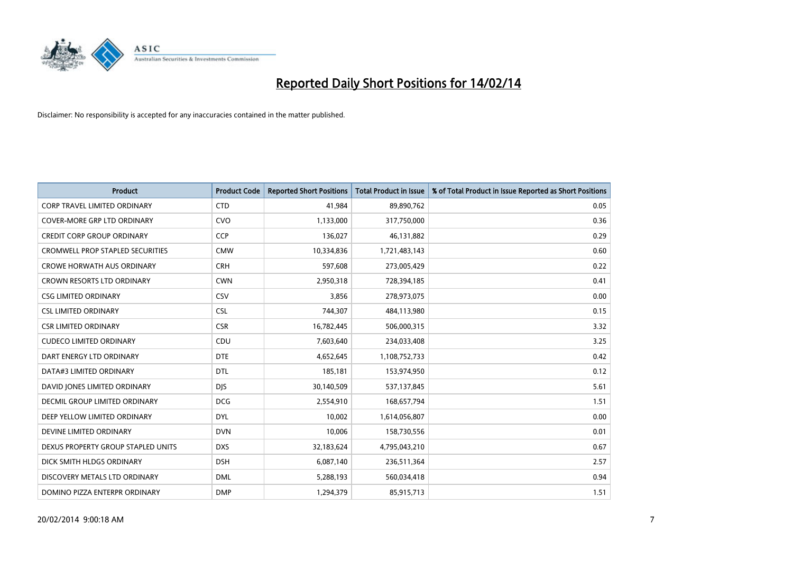

| <b>Product</b>                          | <b>Product Code</b> | <b>Reported Short Positions</b> | <b>Total Product in Issue</b> | % of Total Product in Issue Reported as Short Positions |
|-----------------------------------------|---------------------|---------------------------------|-------------------------------|---------------------------------------------------------|
| <b>CORP TRAVEL LIMITED ORDINARY</b>     | <b>CTD</b>          | 41,984                          | 89,890,762                    | 0.05                                                    |
| <b>COVER-MORE GRP LTD ORDINARY</b>      | <b>CVO</b>          | 1,133,000                       | 317,750,000                   | 0.36                                                    |
| CREDIT CORP GROUP ORDINARY              | <b>CCP</b>          | 136,027                         | 46,131,882                    | 0.29                                                    |
| <b>CROMWELL PROP STAPLED SECURITIES</b> | <b>CMW</b>          | 10,334,836                      | 1,721,483,143                 | 0.60                                                    |
| <b>CROWE HORWATH AUS ORDINARY</b>       | <b>CRH</b>          | 597,608                         | 273,005,429                   | 0.22                                                    |
| <b>CROWN RESORTS LTD ORDINARY</b>       | <b>CWN</b>          | 2,950,318                       | 728,394,185                   | 0.41                                                    |
| <b>CSG LIMITED ORDINARY</b>             | <b>CSV</b>          | 3,856                           | 278,973,075                   | 0.00                                                    |
| <b>CSL LIMITED ORDINARY</b>             | <b>CSL</b>          | 744,307                         | 484,113,980                   | 0.15                                                    |
| <b>CSR LIMITED ORDINARY</b>             | <b>CSR</b>          | 16,782,445                      | 506,000,315                   | 3.32                                                    |
| <b>CUDECO LIMITED ORDINARY</b>          | CDU                 | 7,603,640                       | 234,033,408                   | 3.25                                                    |
| DART ENERGY LTD ORDINARY                | <b>DTE</b>          | 4,652,645                       | 1,108,752,733                 | 0.42                                                    |
| DATA#3 LIMITED ORDINARY                 | <b>DTL</b>          | 185,181                         | 153,974,950                   | 0.12                                                    |
| DAVID JONES LIMITED ORDINARY            | <b>DJS</b>          | 30,140,509                      | 537,137,845                   | 5.61                                                    |
| <b>DECMIL GROUP LIMITED ORDINARY</b>    | <b>DCG</b>          | 2,554,910                       | 168,657,794                   | 1.51                                                    |
| DEEP YELLOW LIMITED ORDINARY            | <b>DYL</b>          | 10,002                          | 1,614,056,807                 | 0.00                                                    |
| DEVINE LIMITED ORDINARY                 | <b>DVN</b>          | 10,006                          | 158,730,556                   | 0.01                                                    |
| DEXUS PROPERTY GROUP STAPLED UNITS      | <b>DXS</b>          | 32,183,624                      | 4,795,043,210                 | 0.67                                                    |
| DICK SMITH HLDGS ORDINARY               | <b>DSH</b>          | 6,087,140                       | 236,511,364                   | 2.57                                                    |
| DISCOVERY METALS LTD ORDINARY           | <b>DML</b>          | 5,288,193                       | 560,034,418                   | 0.94                                                    |
| DOMINO PIZZA ENTERPR ORDINARY           | <b>DMP</b>          | 1,294,379                       | 85,915,713                    | 1.51                                                    |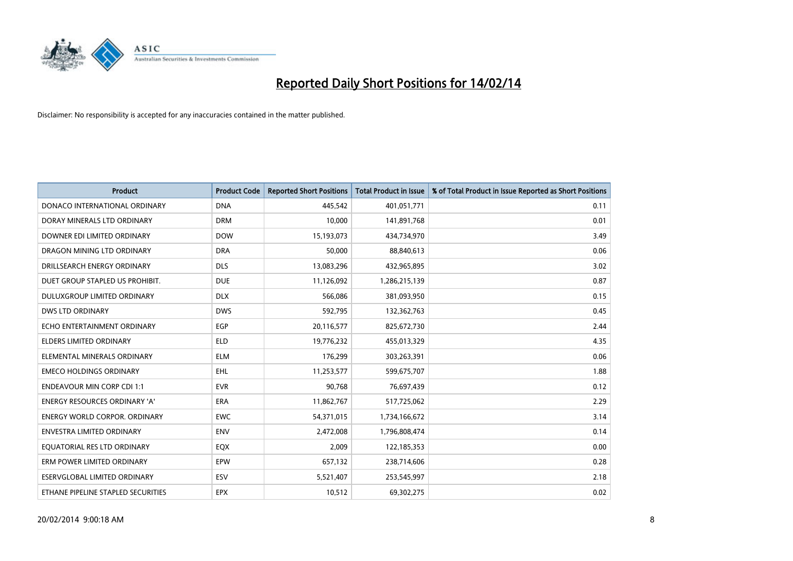

| <b>Product</b>                       | <b>Product Code</b> | <b>Reported Short Positions</b> | <b>Total Product in Issue</b> | % of Total Product in Issue Reported as Short Positions |
|--------------------------------------|---------------------|---------------------------------|-------------------------------|---------------------------------------------------------|
| DONACO INTERNATIONAL ORDINARY        | <b>DNA</b>          | 445,542                         | 401,051,771                   | 0.11                                                    |
| DORAY MINERALS LTD ORDINARY          | <b>DRM</b>          | 10,000                          | 141,891,768                   | 0.01                                                    |
| DOWNER EDI LIMITED ORDINARY          | <b>DOW</b>          | 15,193,073                      | 434,734,970                   | 3.49                                                    |
| DRAGON MINING LTD ORDINARY           | <b>DRA</b>          | 50,000                          | 88,840,613                    | 0.06                                                    |
| DRILLSEARCH ENERGY ORDINARY          | <b>DLS</b>          | 13,083,296                      | 432,965,895                   | 3.02                                                    |
| DUET GROUP STAPLED US PROHIBIT.      | <b>DUE</b>          | 11,126,092                      | 1,286,215,139                 | 0.87                                                    |
| <b>DULUXGROUP LIMITED ORDINARY</b>   | <b>DLX</b>          | 566,086                         | 381,093,950                   | 0.15                                                    |
| DWS LTD ORDINARY                     | <b>DWS</b>          | 592,795                         | 132,362,763                   | 0.45                                                    |
| ECHO ENTERTAINMENT ORDINARY          | <b>EGP</b>          | 20,116,577                      | 825,672,730                   | 2.44                                                    |
| <b>ELDERS LIMITED ORDINARY</b>       | <b>ELD</b>          | 19,776,232                      | 455,013,329                   | 4.35                                                    |
| ELEMENTAL MINERALS ORDINARY          | <b>ELM</b>          | 176,299                         | 303,263,391                   | 0.06                                                    |
| <b>EMECO HOLDINGS ORDINARY</b>       | <b>EHL</b>          | 11,253,577                      | 599,675,707                   | 1.88                                                    |
| <b>ENDEAVOUR MIN CORP CDI 1:1</b>    | <b>EVR</b>          | 90,768                          | 76,697,439                    | 0.12                                                    |
| <b>ENERGY RESOURCES ORDINARY 'A'</b> | ERA                 | 11,862,767                      | 517,725,062                   | 2.29                                                    |
| <b>ENERGY WORLD CORPOR, ORDINARY</b> | <b>EWC</b>          | 54,371,015                      | 1,734,166,672                 | 3.14                                                    |
| ENVESTRA LIMITED ORDINARY            | <b>ENV</b>          | 2,472,008                       | 1,796,808,474                 | 0.14                                                    |
| EQUATORIAL RES LTD ORDINARY          | EQX                 | 2,009                           | 122,185,353                   | 0.00                                                    |
| ERM POWER LIMITED ORDINARY           | EPW                 | 657,132                         | 238,714,606                   | 0.28                                                    |
| ESERVGLOBAL LIMITED ORDINARY         | ESV                 | 5,521,407                       | 253,545,997                   | 2.18                                                    |
| ETHANE PIPELINE STAPLED SECURITIES   | <b>EPX</b>          | 10,512                          | 69,302,275                    | 0.02                                                    |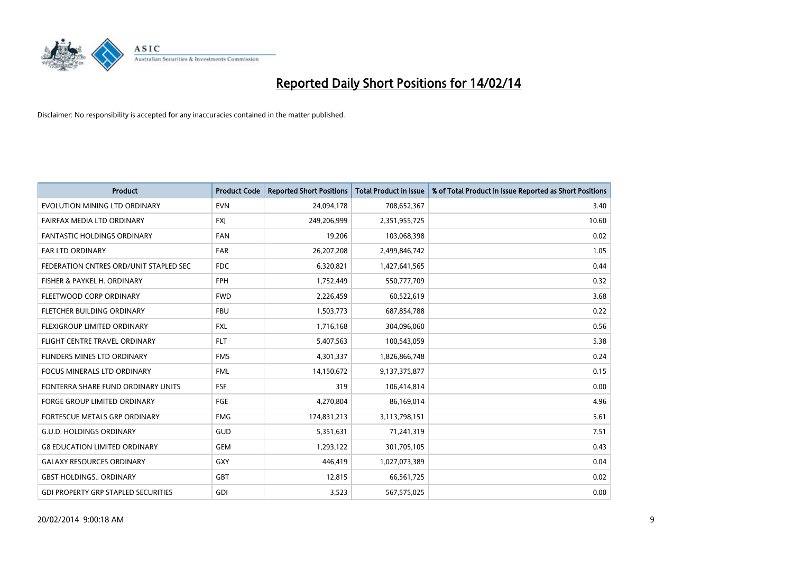

| <b>Product</b>                             | <b>Product Code</b> | <b>Reported Short Positions</b> | <b>Total Product in Issue</b> | % of Total Product in Issue Reported as Short Positions |
|--------------------------------------------|---------------------|---------------------------------|-------------------------------|---------------------------------------------------------|
| EVOLUTION MINING LTD ORDINARY              | <b>EVN</b>          | 24,094,178                      | 708,652,367                   | 3.40                                                    |
| FAIRFAX MEDIA LTD ORDINARY                 | <b>FXI</b>          | 249,206,999                     | 2,351,955,725                 | 10.60                                                   |
| <b>FANTASTIC HOLDINGS ORDINARY</b>         | <b>FAN</b>          | 19,206                          | 103,068,398                   | 0.02                                                    |
| <b>FAR LTD ORDINARY</b>                    | <b>FAR</b>          | 26,207,208                      | 2,499,846,742                 | 1.05                                                    |
| FEDERATION CNTRES ORD/UNIT STAPLED SEC     | <b>FDC</b>          | 6,320,821                       | 1,427,641,565                 | 0.44                                                    |
| FISHER & PAYKEL H. ORDINARY                | <b>FPH</b>          | 1,752,449                       | 550,777,709                   | 0.32                                                    |
| FLEETWOOD CORP ORDINARY                    | <b>FWD</b>          | 2,226,459                       | 60,522,619                    | 3.68                                                    |
| FLETCHER BUILDING ORDINARY                 | <b>FBU</b>          | 1,503,773                       | 687,854,788                   | 0.22                                                    |
| FLEXIGROUP LIMITED ORDINARY                | <b>FXL</b>          | 1,716,168                       | 304,096,060                   | 0.56                                                    |
| FLIGHT CENTRE TRAVEL ORDINARY              | <b>FLT</b>          | 5,407,563                       | 100,543,059                   | 5.38                                                    |
| FLINDERS MINES LTD ORDINARY                | <b>FMS</b>          | 4,301,337                       | 1,826,866,748                 | 0.24                                                    |
| <b>FOCUS MINERALS LTD ORDINARY</b>         | <b>FML</b>          | 14,150,672                      | 9,137,375,877                 | 0.15                                                    |
| FONTERRA SHARE FUND ORDINARY UNITS         | <b>FSF</b>          | 319                             | 106,414,814                   | 0.00                                                    |
| <b>FORGE GROUP LIMITED ORDINARY</b>        | FGE                 | 4,270,804                       | 86,169,014                    | 4.96                                                    |
| FORTESCUE METALS GRP ORDINARY              | <b>FMG</b>          | 174,831,213                     | 3,113,798,151                 | 5.61                                                    |
| <b>G.U.D. HOLDINGS ORDINARY</b>            | GUD                 | 5,351,631                       | 71,241,319                    | 7.51                                                    |
| <b>G8 EDUCATION LIMITED ORDINARY</b>       | <b>GEM</b>          | 1,293,122                       | 301,705,105                   | 0.43                                                    |
| <b>GALAXY RESOURCES ORDINARY</b>           | GXY                 | 446,419                         | 1,027,073,389                 | 0.04                                                    |
| <b>GBST HOLDINGS., ORDINARY</b>            | GBT                 | 12,815                          | 66,561,725                    | 0.02                                                    |
| <b>GDI PROPERTY GRP STAPLED SECURITIES</b> | GDI                 | 3,523                           | 567,575,025                   | 0.00                                                    |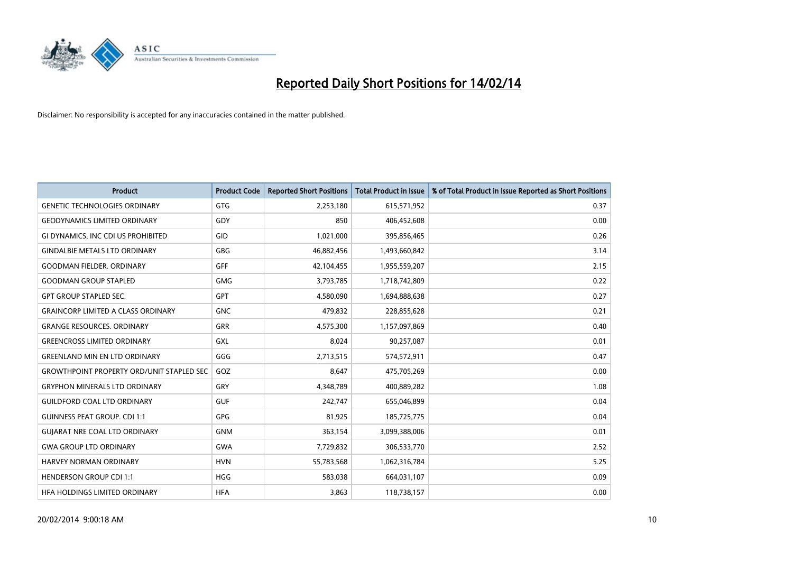

| <b>Product</b>                                   | <b>Product Code</b> | <b>Reported Short Positions</b> | <b>Total Product in Issue</b> | % of Total Product in Issue Reported as Short Positions |
|--------------------------------------------------|---------------------|---------------------------------|-------------------------------|---------------------------------------------------------|
| <b>GENETIC TECHNOLOGIES ORDINARY</b>             | <b>GTG</b>          | 2,253,180                       | 615,571,952                   | 0.37                                                    |
| <b>GEODYNAMICS LIMITED ORDINARY</b>              | GDY                 | 850                             | 406,452,608                   | 0.00                                                    |
| GI DYNAMICS, INC CDI US PROHIBITED               | GID                 | 1,021,000                       | 395,856,465                   | 0.26                                                    |
| <b>GINDALBIE METALS LTD ORDINARY</b>             | GBG                 | 46,882,456                      | 1,493,660,842                 | 3.14                                                    |
| <b>GOODMAN FIELDER, ORDINARY</b>                 | GFF                 | 42,104,455                      | 1,955,559,207                 | 2.15                                                    |
| <b>GOODMAN GROUP STAPLED</b>                     | <b>GMG</b>          | 3,793,785                       | 1,718,742,809                 | 0.22                                                    |
| <b>GPT GROUP STAPLED SEC.</b>                    | <b>GPT</b>          | 4,580,090                       | 1,694,888,638                 | 0.27                                                    |
| <b>GRAINCORP LIMITED A CLASS ORDINARY</b>        | <b>GNC</b>          | 479,832                         | 228,855,628                   | 0.21                                                    |
| <b>GRANGE RESOURCES, ORDINARY</b>                | <b>GRR</b>          | 4,575,300                       | 1,157,097,869                 | 0.40                                                    |
| <b>GREENCROSS LIMITED ORDINARY</b>               | <b>GXL</b>          | 8,024                           | 90,257,087                    | 0.01                                                    |
| <b>GREENLAND MIN EN LTD ORDINARY</b>             | GGG                 | 2,713,515                       | 574,572,911                   | 0.47                                                    |
| <b>GROWTHPOINT PROPERTY ORD/UNIT STAPLED SEC</b> | GOZ                 | 8,647                           | 475,705,269                   | 0.00                                                    |
| <b>GRYPHON MINERALS LTD ORDINARY</b>             | GRY                 | 4,348,789                       | 400,889,282                   | 1.08                                                    |
| <b>GUILDFORD COAL LTD ORDINARY</b>               | <b>GUF</b>          | 242,747                         | 655,046,899                   | 0.04                                                    |
| <b>GUINNESS PEAT GROUP. CDI 1:1</b>              | <b>GPG</b>          | 81,925                          | 185,725,775                   | 0.04                                                    |
| <b>GUIARAT NRE COAL LTD ORDINARY</b>             | <b>GNM</b>          | 363,154                         | 3,099,388,006                 | 0.01                                                    |
| <b>GWA GROUP LTD ORDINARY</b>                    | GWA                 | 7,729,832                       | 306,533,770                   | 2.52                                                    |
| <b>HARVEY NORMAN ORDINARY</b>                    | <b>HVN</b>          | 55,783,568                      | 1,062,316,784                 | 5.25                                                    |
| <b>HENDERSON GROUP CDI 1:1</b>                   | <b>HGG</b>          | 583,038                         | 664,031,107                   | 0.09                                                    |
| HFA HOLDINGS LIMITED ORDINARY                    | <b>HFA</b>          | 3,863                           | 118,738,157                   | 0.00                                                    |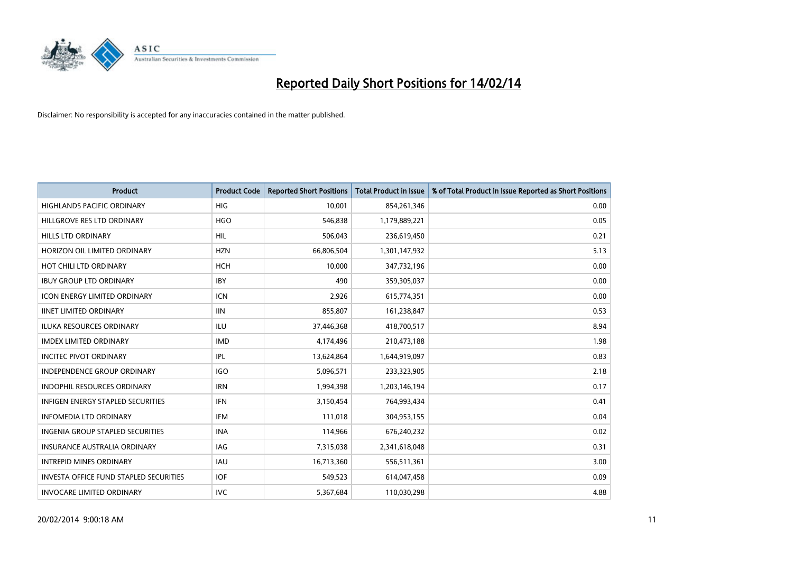

| <b>Product</b>                                | <b>Product Code</b> | <b>Reported Short Positions</b> | <b>Total Product in Issue</b> | % of Total Product in Issue Reported as Short Positions |
|-----------------------------------------------|---------------------|---------------------------------|-------------------------------|---------------------------------------------------------|
| <b>HIGHLANDS PACIFIC ORDINARY</b>             | <b>HIG</b>          | 10,001                          | 854,261,346                   | 0.00                                                    |
| HILLGROVE RES LTD ORDINARY                    | <b>HGO</b>          | 546,838                         | 1,179,889,221                 | 0.05                                                    |
| <b>HILLS LTD ORDINARY</b>                     | <b>HIL</b>          | 506,043                         | 236,619,450                   | 0.21                                                    |
| HORIZON OIL LIMITED ORDINARY                  | <b>HZN</b>          | 66,806,504                      | 1,301,147,932                 | 5.13                                                    |
| HOT CHILI LTD ORDINARY                        | <b>HCH</b>          | 10,000                          | 347,732,196                   | 0.00                                                    |
| <b>IBUY GROUP LTD ORDINARY</b>                | <b>IBY</b>          | 490                             | 359,305,037                   | 0.00                                                    |
| <b>ICON ENERGY LIMITED ORDINARY</b>           | <b>ICN</b>          | 2,926                           | 615,774,351                   | 0.00                                                    |
| <b>IINET LIMITED ORDINARY</b>                 | <b>IIN</b>          | 855,807                         | 161,238,847                   | 0.53                                                    |
| ILUKA RESOURCES ORDINARY                      | ILU                 | 37,446,368                      | 418,700,517                   | 8.94                                                    |
| <b>IMDEX LIMITED ORDINARY</b>                 | <b>IMD</b>          | 4,174,496                       | 210,473,188                   | 1.98                                                    |
| <b>INCITEC PIVOT ORDINARY</b>                 | IPL                 | 13,624,864                      | 1,644,919,097                 | 0.83                                                    |
| <b>INDEPENDENCE GROUP ORDINARY</b>            | <b>IGO</b>          | 5,096,571                       | 233,323,905                   | 2.18                                                    |
| <b>INDOPHIL RESOURCES ORDINARY</b>            | <b>IRN</b>          | 1,994,398                       | 1,203,146,194                 | 0.17                                                    |
| <b>INFIGEN ENERGY STAPLED SECURITIES</b>      | <b>IFN</b>          | 3,150,454                       | 764,993,434                   | 0.41                                                    |
| <b>INFOMEDIA LTD ORDINARY</b>                 | <b>IFM</b>          | 111,018                         | 304,953,155                   | 0.04                                                    |
| INGENIA GROUP STAPLED SECURITIES              | <b>INA</b>          | 114,966                         | 676,240,232                   | 0.02                                                    |
| <b>INSURANCE AUSTRALIA ORDINARY</b>           | <b>IAG</b>          | 7,315,038                       | 2,341,618,048                 | 0.31                                                    |
| <b>INTREPID MINES ORDINARY</b>                | <b>IAU</b>          | 16,713,360                      | 556,511,361                   | 3.00                                                    |
| <b>INVESTA OFFICE FUND STAPLED SECURITIES</b> | <b>IOF</b>          | 549,523                         | 614,047,458                   | 0.09                                                    |
| <b>INVOCARE LIMITED ORDINARY</b>              | <b>IVC</b>          | 5,367,684                       | 110,030,298                   | 4.88                                                    |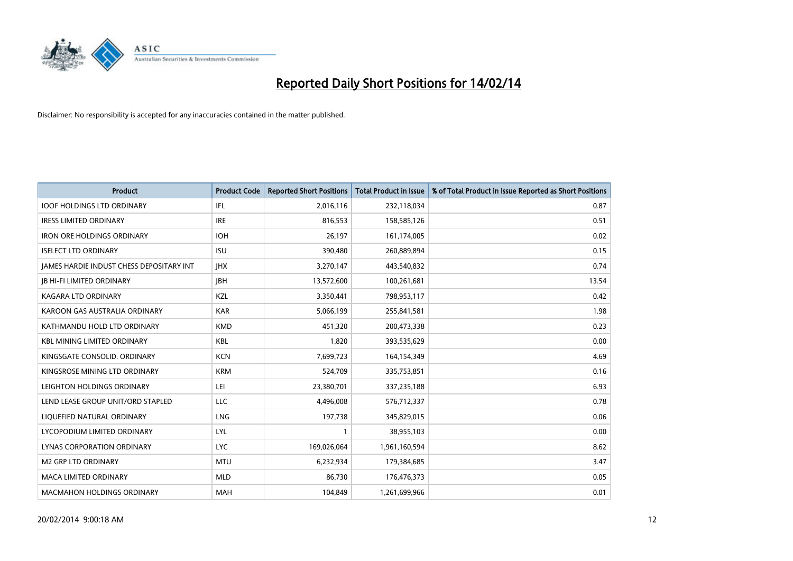

| <b>Product</b>                                  | <b>Product Code</b> | <b>Reported Short Positions</b> | <b>Total Product in Issue</b> | % of Total Product in Issue Reported as Short Positions |
|-------------------------------------------------|---------------------|---------------------------------|-------------------------------|---------------------------------------------------------|
| <b>IOOF HOLDINGS LTD ORDINARY</b>               | IFL                 | 2,016,116                       | 232,118,034                   | 0.87                                                    |
| <b>IRESS LIMITED ORDINARY</b>                   | <b>IRE</b>          | 816,553                         | 158,585,126                   | 0.51                                                    |
| <b>IRON ORE HOLDINGS ORDINARY</b>               | <b>IOH</b>          | 26,197                          | 161,174,005                   | 0.02                                                    |
| <b>ISELECT LTD ORDINARY</b>                     | <b>ISU</b>          | 390,480                         | 260,889,894                   | 0.15                                                    |
| <b>IAMES HARDIE INDUST CHESS DEPOSITARY INT</b> | <b>IHX</b>          | 3,270,147                       | 443,540,832                   | 0.74                                                    |
| <b>JB HI-FI LIMITED ORDINARY</b>                | <b>IBH</b>          | 13,572,600                      | 100,261,681                   | 13.54                                                   |
| <b>KAGARA LTD ORDINARY</b>                      | KZL                 | 3,350,441                       | 798,953,117                   | 0.42                                                    |
| KAROON GAS AUSTRALIA ORDINARY                   | <b>KAR</b>          | 5,066,199                       | 255,841,581                   | 1.98                                                    |
| KATHMANDU HOLD LTD ORDINARY                     | <b>KMD</b>          | 451,320                         | 200,473,338                   | 0.23                                                    |
| <b>KBL MINING LIMITED ORDINARY</b>              | <b>KBL</b>          | 1,820                           | 393,535,629                   | 0.00                                                    |
| KINGSGATE CONSOLID. ORDINARY                    | <b>KCN</b>          | 7,699,723                       | 164,154,349                   | 4.69                                                    |
| KINGSROSE MINING LTD ORDINARY                   | <b>KRM</b>          | 524,709                         | 335,753,851                   | 0.16                                                    |
| LEIGHTON HOLDINGS ORDINARY                      | LEI                 | 23,380,701                      | 337,235,188                   | 6.93                                                    |
| LEND LEASE GROUP UNIT/ORD STAPLED               | <b>LLC</b>          | 4,496,008                       | 576,712,337                   | 0.78                                                    |
| LIQUEFIED NATURAL ORDINARY                      | LNG                 | 197,738                         | 345,829,015                   | 0.06                                                    |
| LYCOPODIUM LIMITED ORDINARY                     | <b>LYL</b>          | 1                               | 38,955,103                    | 0.00                                                    |
| LYNAS CORPORATION ORDINARY                      | <b>LYC</b>          | 169,026,064                     | 1,961,160,594                 | 8.62                                                    |
| <b>M2 GRP LTD ORDINARY</b>                      | <b>MTU</b>          | 6,232,934                       | 179,384,685                   | 3.47                                                    |
| <b>MACA LIMITED ORDINARY</b>                    | <b>MLD</b>          | 86,730                          | 176,476,373                   | 0.05                                                    |
| <b>MACMAHON HOLDINGS ORDINARY</b>               | <b>MAH</b>          | 104,849                         | 1,261,699,966                 | 0.01                                                    |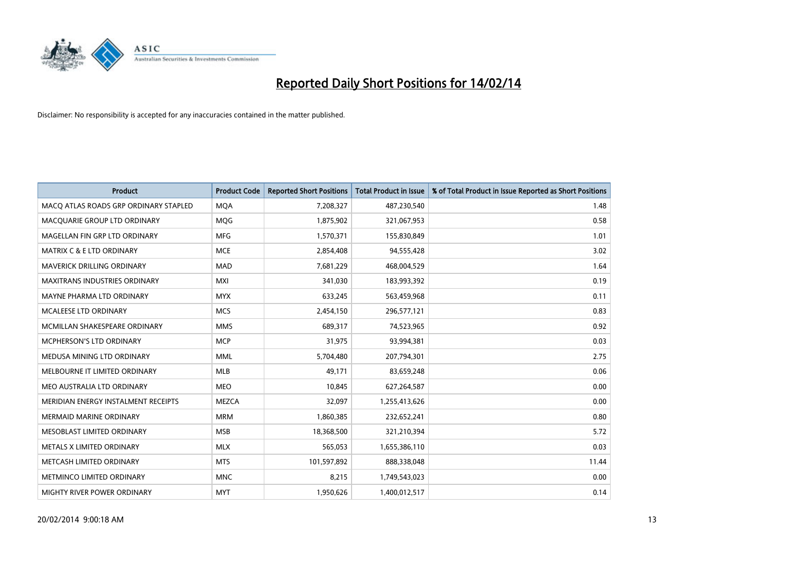

| <b>Product</b>                        | <b>Product Code</b> | <b>Reported Short Positions</b> | <b>Total Product in Issue</b> | % of Total Product in Issue Reported as Short Positions |
|---------------------------------------|---------------------|---------------------------------|-------------------------------|---------------------------------------------------------|
| MACO ATLAS ROADS GRP ORDINARY STAPLED | <b>MQA</b>          | 7,208,327                       | 487,230,540                   | 1.48                                                    |
| MACQUARIE GROUP LTD ORDINARY          | <b>MQG</b>          | 1,875,902                       | 321,067,953                   | 0.58                                                    |
| MAGELLAN FIN GRP LTD ORDINARY         | <b>MFG</b>          | 1,570,371                       | 155,830,849                   | 1.01                                                    |
| <b>MATRIX C &amp; E LTD ORDINARY</b>  | <b>MCE</b>          | 2,854,408                       | 94,555,428                    | 3.02                                                    |
| MAVERICK DRILLING ORDINARY            | <b>MAD</b>          | 7,681,229                       | 468,004,529                   | 1.64                                                    |
| <b>MAXITRANS INDUSTRIES ORDINARY</b>  | <b>MXI</b>          | 341,030                         | 183,993,392                   | 0.19                                                    |
| MAYNE PHARMA LTD ORDINARY             | <b>MYX</b>          | 633,245                         | 563,459,968                   | 0.11                                                    |
| MCALEESE LTD ORDINARY                 | <b>MCS</b>          | 2,454,150                       | 296,577,121                   | 0.83                                                    |
| MCMILLAN SHAKESPEARE ORDINARY         | <b>MMS</b>          | 689,317                         | 74,523,965                    | 0.92                                                    |
| <b>MCPHERSON'S LTD ORDINARY</b>       | <b>MCP</b>          | 31,975                          | 93,994,381                    | 0.03                                                    |
| MEDUSA MINING LTD ORDINARY            | <b>MML</b>          | 5,704,480                       | 207,794,301                   | 2.75                                                    |
| MELBOURNE IT LIMITED ORDINARY         | MLB                 | 49,171                          | 83,659,248                    | 0.06                                                    |
| MEO AUSTRALIA LTD ORDINARY            | <b>MEO</b>          | 10,845                          | 627,264,587                   | 0.00                                                    |
| MERIDIAN ENERGY INSTALMENT RECEIPTS   | <b>MEZCA</b>        | 32,097                          | 1,255,413,626                 | 0.00                                                    |
| <b>MERMAID MARINE ORDINARY</b>        | <b>MRM</b>          | 1,860,385                       | 232,652,241                   | 0.80                                                    |
| MESOBLAST LIMITED ORDINARY            | <b>MSB</b>          | 18,368,500                      | 321,210,394                   | 5.72                                                    |
| METALS X LIMITED ORDINARY             | <b>MLX</b>          | 565,053                         | 1,655,386,110                 | 0.03                                                    |
| METCASH LIMITED ORDINARY              | <b>MTS</b>          | 101,597,892                     | 888,338,048                   | 11.44                                                   |
| METMINCO LIMITED ORDINARY             | <b>MNC</b>          | 8,215                           | 1,749,543,023                 | 0.00                                                    |
| MIGHTY RIVER POWER ORDINARY           | <b>MYT</b>          | 1,950,626                       | 1,400,012,517                 | 0.14                                                    |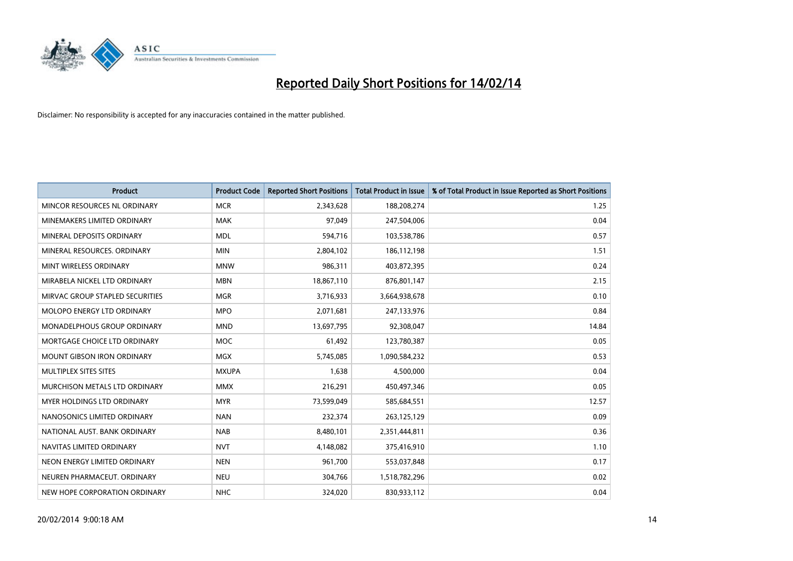

| <b>Product</b>                    | <b>Product Code</b> | <b>Reported Short Positions</b> | <b>Total Product in Issue</b> | % of Total Product in Issue Reported as Short Positions |
|-----------------------------------|---------------------|---------------------------------|-------------------------------|---------------------------------------------------------|
| MINCOR RESOURCES NL ORDINARY      | <b>MCR</b>          | 2,343,628                       | 188,208,274                   | 1.25                                                    |
| MINEMAKERS LIMITED ORDINARY       | MAK                 | 97,049                          | 247,504,006                   | 0.04                                                    |
| MINERAL DEPOSITS ORDINARY         | <b>MDL</b>          | 594,716                         | 103,538,786                   | 0.57                                                    |
| MINERAL RESOURCES. ORDINARY       | <b>MIN</b>          | 2,804,102                       | 186,112,198                   | 1.51                                                    |
| MINT WIRELESS ORDINARY            | <b>MNW</b>          | 986,311                         | 403,872,395                   | 0.24                                                    |
| MIRABELA NICKEL LTD ORDINARY      | <b>MBN</b>          | 18,867,110                      | 876,801,147                   | 2.15                                                    |
| MIRVAC GROUP STAPLED SECURITIES   | <b>MGR</b>          | 3,716,933                       | 3,664,938,678                 | 0.10                                                    |
| MOLOPO ENERGY LTD ORDINARY        | <b>MPO</b>          | 2,071,681                       | 247,133,976                   | 0.84                                                    |
| MONADELPHOUS GROUP ORDINARY       | <b>MND</b>          | 13,697,795                      | 92,308,047                    | 14.84                                                   |
| MORTGAGE CHOICE LTD ORDINARY      | <b>MOC</b>          | 61,492                          | 123,780,387                   | 0.05                                                    |
| MOUNT GIBSON IRON ORDINARY        | MGX                 | 5,745,085                       | 1,090,584,232                 | 0.53                                                    |
| MULTIPLEX SITES SITES             | <b>MXUPA</b>        | 1,638                           | 4,500,000                     | 0.04                                                    |
| MURCHISON METALS LTD ORDINARY     | <b>MMX</b>          | 216,291                         | 450,497,346                   | 0.05                                                    |
| <b>MYER HOLDINGS LTD ORDINARY</b> | <b>MYR</b>          | 73,599,049                      | 585,684,551                   | 12.57                                                   |
| NANOSONICS LIMITED ORDINARY       | <b>NAN</b>          | 232,374                         | 263,125,129                   | 0.09                                                    |
| NATIONAL AUST. BANK ORDINARY      | <b>NAB</b>          | 8,480,101                       | 2,351,444,811                 | 0.36                                                    |
| NAVITAS LIMITED ORDINARY          | <b>NVT</b>          | 4,148,082                       | 375,416,910                   | 1.10                                                    |
| NEON ENERGY LIMITED ORDINARY      | <b>NEN</b>          | 961,700                         | 553,037,848                   | 0.17                                                    |
| NEUREN PHARMACEUT, ORDINARY       | <b>NEU</b>          | 304,766                         | 1,518,782,296                 | 0.02                                                    |
| NEW HOPE CORPORATION ORDINARY     | <b>NHC</b>          | 324,020                         | 830,933,112                   | 0.04                                                    |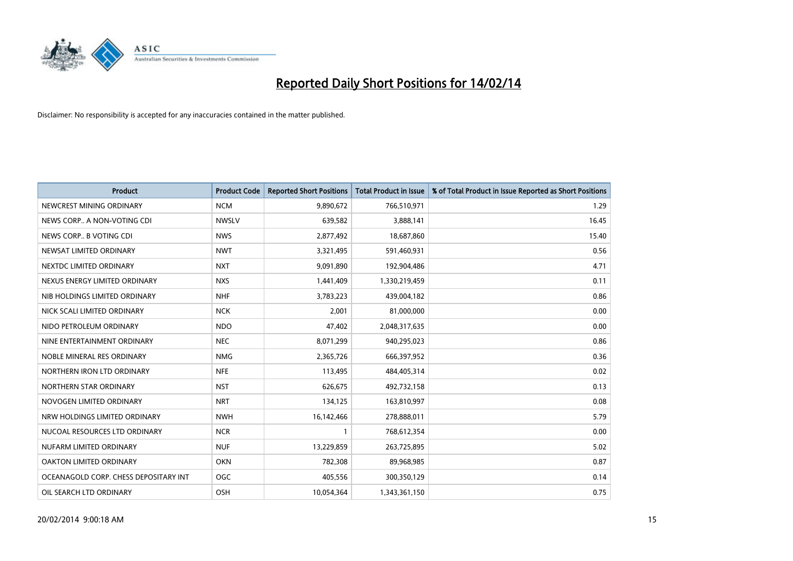

| <b>Product</b>                        | <b>Product Code</b> | <b>Reported Short Positions</b> | <b>Total Product in Issue</b> | % of Total Product in Issue Reported as Short Positions |
|---------------------------------------|---------------------|---------------------------------|-------------------------------|---------------------------------------------------------|
| NEWCREST MINING ORDINARY              | <b>NCM</b>          | 9,890,672                       | 766,510,971                   | 1.29                                                    |
| NEWS CORP A NON-VOTING CDI            | <b>NWSLV</b>        | 639,582                         | 3,888,141                     | 16.45                                                   |
| NEWS CORP B VOTING CDI                | <b>NWS</b>          | 2,877,492                       | 18,687,860                    | 15.40                                                   |
| NEWSAT LIMITED ORDINARY               | <b>NWT</b>          | 3,321,495                       | 591,460,931                   | 0.56                                                    |
| NEXTDC LIMITED ORDINARY               | <b>NXT</b>          | 9,091,890                       | 192,904,486                   | 4.71                                                    |
| NEXUS ENERGY LIMITED ORDINARY         | <b>NXS</b>          | 1,441,409                       | 1,330,219,459                 | 0.11                                                    |
| NIB HOLDINGS LIMITED ORDINARY         | <b>NHF</b>          | 3,783,223                       | 439,004,182                   | 0.86                                                    |
| NICK SCALI LIMITED ORDINARY           | <b>NCK</b>          | 2,001                           | 81,000,000                    | 0.00                                                    |
| NIDO PETROLEUM ORDINARY               | <b>NDO</b>          | 47,402                          | 2,048,317,635                 | 0.00                                                    |
| NINE ENTERTAINMENT ORDINARY           | <b>NEC</b>          | 8,071,299                       | 940,295,023                   | 0.86                                                    |
| NOBLE MINERAL RES ORDINARY            | <b>NMG</b>          | 2,365,726                       | 666,397,952                   | 0.36                                                    |
| NORTHERN IRON LTD ORDINARY            | <b>NFE</b>          | 113,495                         | 484,405,314                   | 0.02                                                    |
| NORTHERN STAR ORDINARY                | <b>NST</b>          | 626,675                         | 492,732,158                   | 0.13                                                    |
| NOVOGEN LIMITED ORDINARY              | <b>NRT</b>          | 134,125                         | 163,810,997                   | 0.08                                                    |
| NRW HOLDINGS LIMITED ORDINARY         | <b>NWH</b>          | 16,142,466                      | 278,888,011                   | 5.79                                                    |
| NUCOAL RESOURCES LTD ORDINARY         | <b>NCR</b>          | 1                               | 768,612,354                   | 0.00                                                    |
| NUFARM LIMITED ORDINARY               | <b>NUF</b>          | 13,229,859                      | 263,725,895                   | 5.02                                                    |
| <b>OAKTON LIMITED ORDINARY</b>        | <b>OKN</b>          | 782,308                         | 89,968,985                    | 0.87                                                    |
| OCEANAGOLD CORP. CHESS DEPOSITARY INT | OGC                 | 405,556                         | 300,350,129                   | 0.14                                                    |
| OIL SEARCH LTD ORDINARY               | OSH                 | 10,054,364                      | 1,343,361,150                 | 0.75                                                    |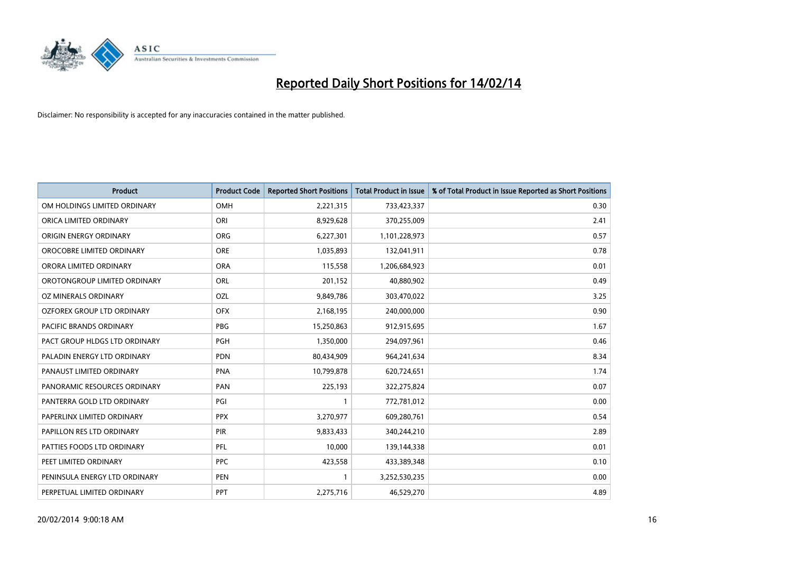

| <b>Product</b>                    | <b>Product Code</b> | <b>Reported Short Positions</b> | <b>Total Product in Issue</b> | % of Total Product in Issue Reported as Short Positions |
|-----------------------------------|---------------------|---------------------------------|-------------------------------|---------------------------------------------------------|
| OM HOLDINGS LIMITED ORDINARY      | OMH                 | 2,221,315                       | 733,423,337                   | 0.30                                                    |
| ORICA LIMITED ORDINARY            | ORI                 | 8,929,628                       | 370,255,009                   | 2.41                                                    |
| <b>ORIGIN ENERGY ORDINARY</b>     | <b>ORG</b>          | 6,227,301                       | 1,101,228,973                 | 0.57                                                    |
| OROCOBRE LIMITED ORDINARY         | <b>ORE</b>          | 1,035,893                       | 132,041,911                   | 0.78                                                    |
| ORORA LIMITED ORDINARY            | <b>ORA</b>          | 115,558                         | 1,206,684,923                 | 0.01                                                    |
| OROTONGROUP LIMITED ORDINARY      | ORL                 | 201,152                         | 40,880,902                    | 0.49                                                    |
| OZ MINERALS ORDINARY              | OZL                 | 9,849,786                       | 303,470,022                   | 3.25                                                    |
| <b>OZFOREX GROUP LTD ORDINARY</b> | <b>OFX</b>          | 2,168,195                       | 240,000,000                   | 0.90                                                    |
| <b>PACIFIC BRANDS ORDINARY</b>    | <b>PBG</b>          | 15,250,863                      | 912,915,695                   | 1.67                                                    |
| PACT GROUP HLDGS LTD ORDINARY     | <b>PGH</b>          | 1,350,000                       | 294,097,961                   | 0.46                                                    |
| PALADIN ENERGY LTD ORDINARY       | <b>PDN</b>          | 80,434,909                      | 964,241,634                   | 8.34                                                    |
| PANAUST LIMITED ORDINARY          | <b>PNA</b>          | 10,799,878                      | 620,724,651                   | 1.74                                                    |
| PANORAMIC RESOURCES ORDINARY      | PAN                 | 225,193                         | 322,275,824                   | 0.07                                                    |
| PANTERRA GOLD LTD ORDINARY        | PGI                 | 1                               | 772,781,012                   | 0.00                                                    |
| PAPERLINX LIMITED ORDINARY        | <b>PPX</b>          | 3,270,977                       | 609,280,761                   | 0.54                                                    |
| PAPILLON RES LTD ORDINARY         | PIR                 | 9,833,433                       | 340,244,210                   | 2.89                                                    |
| PATTIES FOODS LTD ORDINARY        | PFL                 | 10,000                          | 139,144,338                   | 0.01                                                    |
| PEET LIMITED ORDINARY             | <b>PPC</b>          | 423,558                         | 433,389,348                   | 0.10                                                    |
| PENINSULA ENERGY LTD ORDINARY     | <b>PEN</b>          | $\mathbf{1}$                    | 3,252,530,235                 | 0.00                                                    |
| PERPETUAL LIMITED ORDINARY        | <b>PPT</b>          | 2,275,716                       | 46,529,270                    | 4.89                                                    |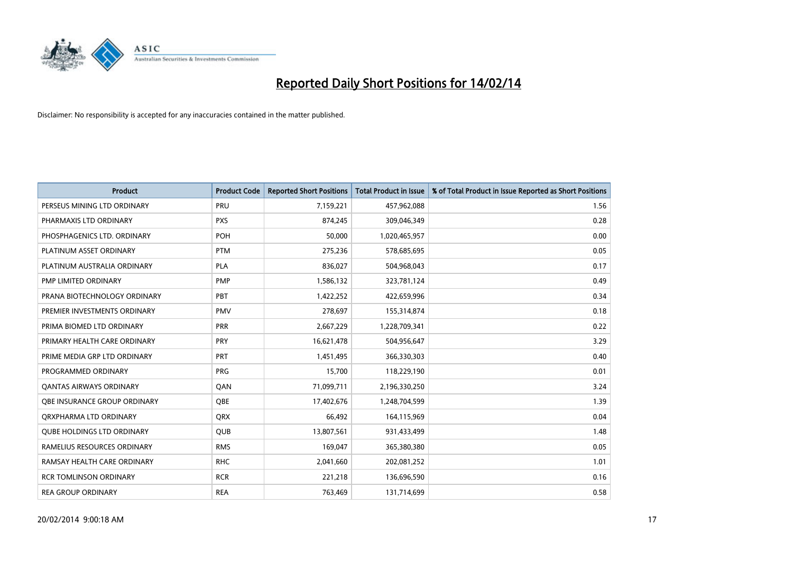

| <b>Product</b>                    | <b>Product Code</b> | <b>Reported Short Positions</b> | <b>Total Product in Issue</b> | % of Total Product in Issue Reported as Short Positions |
|-----------------------------------|---------------------|---------------------------------|-------------------------------|---------------------------------------------------------|
| PERSEUS MINING LTD ORDINARY       | PRU                 | 7,159,221                       | 457,962,088                   | 1.56                                                    |
| PHARMAXIS LTD ORDINARY            | <b>PXS</b>          | 874,245                         | 309,046,349                   | 0.28                                                    |
| PHOSPHAGENICS LTD. ORDINARY       | POH                 | 50,000                          | 1,020,465,957                 | 0.00                                                    |
| PLATINUM ASSET ORDINARY           | <b>PTM</b>          | 275,236                         | 578,685,695                   | 0.05                                                    |
| PLATINUM AUSTRALIA ORDINARY       | <b>PLA</b>          | 836,027                         | 504,968,043                   | 0.17                                                    |
| PMP LIMITED ORDINARY              | PMP                 | 1,586,132                       | 323,781,124                   | 0.49                                                    |
| PRANA BIOTECHNOLOGY ORDINARY      | PBT                 | 1,422,252                       | 422,659,996                   | 0.34                                                    |
| PREMIER INVESTMENTS ORDINARY      | <b>PMV</b>          | 278,697                         | 155,314,874                   | 0.18                                                    |
| PRIMA BIOMED LTD ORDINARY         | <b>PRR</b>          | 2,667,229                       | 1,228,709,341                 | 0.22                                                    |
| PRIMARY HEALTH CARE ORDINARY      | <b>PRY</b>          | 16,621,478                      | 504,956,647                   | 3.29                                                    |
| PRIME MEDIA GRP LTD ORDINARY      | <b>PRT</b>          | 1,451,495                       | 366,330,303                   | 0.40                                                    |
| PROGRAMMED ORDINARY               | <b>PRG</b>          | 15,700                          | 118,229,190                   | 0.01                                                    |
| <b>QANTAS AIRWAYS ORDINARY</b>    | QAN                 | 71,099,711                      | 2,196,330,250                 | 3.24                                                    |
| OBE INSURANCE GROUP ORDINARY      | <b>OBE</b>          | 17,402,676                      | 1,248,704,599                 | 1.39                                                    |
| ORXPHARMA LTD ORDINARY            | <b>QRX</b>          | 66,492                          | 164,115,969                   | 0.04                                                    |
| <b>QUBE HOLDINGS LTD ORDINARY</b> | QUB                 | 13,807,561                      | 931,433,499                   | 1.48                                                    |
| RAMELIUS RESOURCES ORDINARY       | <b>RMS</b>          | 169,047                         | 365,380,380                   | 0.05                                                    |
| RAMSAY HEALTH CARE ORDINARY       | <b>RHC</b>          | 2,041,660                       | 202,081,252                   | 1.01                                                    |
| <b>RCR TOMLINSON ORDINARY</b>     | <b>RCR</b>          | 221,218                         | 136,696,590                   | 0.16                                                    |
| <b>REA GROUP ORDINARY</b>         | <b>REA</b>          | 763,469                         | 131,714,699                   | 0.58                                                    |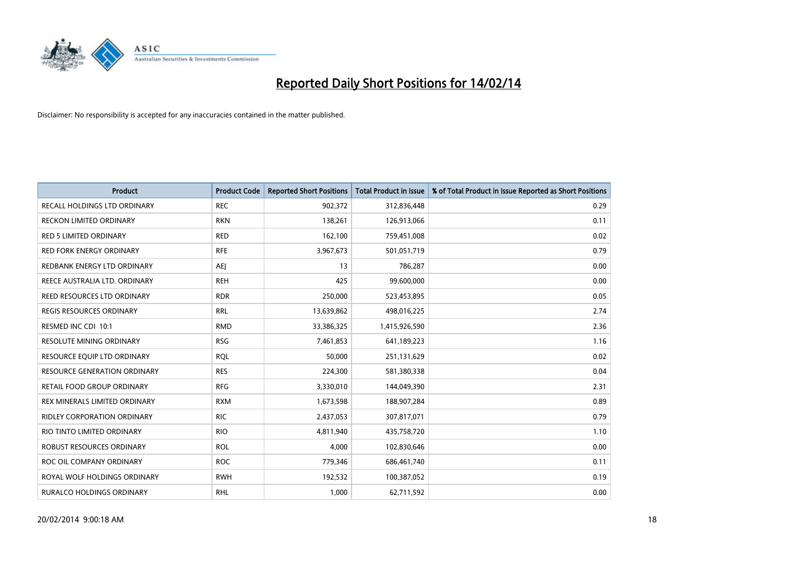

| Product                             | <b>Product Code</b> | <b>Reported Short Positions</b> | <b>Total Product in Issue</b> | % of Total Product in Issue Reported as Short Positions |
|-------------------------------------|---------------------|---------------------------------|-------------------------------|---------------------------------------------------------|
| RECALL HOLDINGS LTD ORDINARY        | <b>REC</b>          | 902,372                         | 312,836,448                   | 0.29                                                    |
| <b>RECKON LIMITED ORDINARY</b>      | <b>RKN</b>          | 138,261                         | 126,913,066                   | 0.11                                                    |
| <b>RED 5 LIMITED ORDINARY</b>       | <b>RED</b>          | 162,100                         | 759,451,008                   | 0.02                                                    |
| RED FORK ENERGY ORDINARY            | <b>RFE</b>          | 3,967,673                       | 501,051,719                   | 0.79                                                    |
| REDBANK ENERGY LTD ORDINARY         | <b>AEJ</b>          | 13                              | 786,287                       | 0.00                                                    |
| REECE AUSTRALIA LTD. ORDINARY       | <b>REH</b>          | 425                             | 99,600,000                    | 0.00                                                    |
| REED RESOURCES LTD ORDINARY         | <b>RDR</b>          | 250,000                         | 523,453,895                   | 0.05                                                    |
| REGIS RESOURCES ORDINARY            | <b>RRL</b>          | 13,639,862                      | 498,016,225                   | 2.74                                                    |
| RESMED INC CDI 10:1                 | <b>RMD</b>          | 33,386,325                      | 1,415,926,590                 | 2.36                                                    |
| <b>RESOLUTE MINING ORDINARY</b>     | <b>RSG</b>          | 7,461,853                       | 641,189,223                   | 1.16                                                    |
| RESOURCE EQUIP LTD ORDINARY         | <b>RQL</b>          | 50,000                          | 251,131,629                   | 0.02                                                    |
| <b>RESOURCE GENERATION ORDINARY</b> | <b>RES</b>          | 224,300                         | 581,380,338                   | 0.04                                                    |
| RETAIL FOOD GROUP ORDINARY          | <b>RFG</b>          | 3,330,010                       | 144,049,390                   | 2.31                                                    |
| REX MINERALS LIMITED ORDINARY       | <b>RXM</b>          | 1,673,598                       | 188,907,284                   | 0.89                                                    |
| <b>RIDLEY CORPORATION ORDINARY</b>  | <b>RIC</b>          | 2,437,053                       | 307,817,071                   | 0.79                                                    |
| RIO TINTO LIMITED ORDINARY          | <b>RIO</b>          | 4,811,940                       | 435,758,720                   | 1.10                                                    |
| ROBUST RESOURCES ORDINARY           | <b>ROL</b>          | 4,000                           | 102,830,646                   | 0.00                                                    |
| ROC OIL COMPANY ORDINARY            | <b>ROC</b>          | 779,346                         | 686,461,740                   | 0.11                                                    |
| ROYAL WOLF HOLDINGS ORDINARY        | <b>RWH</b>          | 192,532                         | 100,387,052                   | 0.19                                                    |
| RURALCO HOLDINGS ORDINARY           | <b>RHL</b>          | 1,000                           | 62,711,592                    | 0.00                                                    |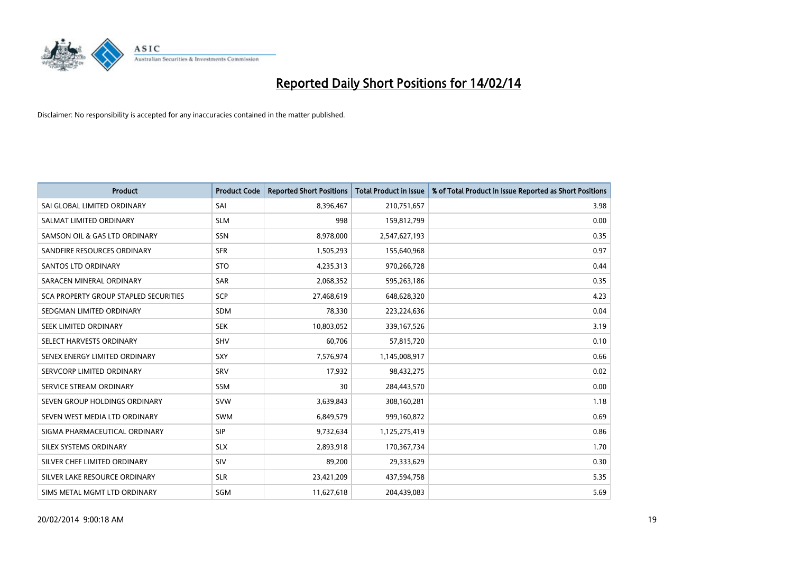

| <b>Product</b>                        | <b>Product Code</b> | <b>Reported Short Positions</b> | <b>Total Product in Issue</b> | % of Total Product in Issue Reported as Short Positions |
|---------------------------------------|---------------------|---------------------------------|-------------------------------|---------------------------------------------------------|
| SAI GLOBAL LIMITED ORDINARY           | SAI                 | 8,396,467                       | 210,751,657                   | 3.98                                                    |
| SALMAT LIMITED ORDINARY               | <b>SLM</b>          | 998                             | 159,812,799                   | 0.00                                                    |
| SAMSON OIL & GAS LTD ORDINARY         | SSN                 | 8,978,000                       | 2,547,627,193                 | 0.35                                                    |
| SANDFIRE RESOURCES ORDINARY           | <b>SFR</b>          | 1,505,293                       | 155,640,968                   | 0.97                                                    |
| <b>SANTOS LTD ORDINARY</b>            | <b>STO</b>          | 4,235,313                       | 970,266,728                   | 0.44                                                    |
| SARACEN MINERAL ORDINARY              | SAR                 | 2,068,352                       | 595,263,186                   | 0.35                                                    |
| SCA PROPERTY GROUP STAPLED SECURITIES | <b>SCP</b>          | 27,468,619                      | 648,628,320                   | 4.23                                                    |
| SEDGMAN LIMITED ORDINARY              | SDM                 | 78,330                          | 223,224,636                   | 0.04                                                    |
| SEEK LIMITED ORDINARY                 | <b>SEK</b>          | 10,803,052                      | 339, 167, 526                 | 3.19                                                    |
| SELECT HARVESTS ORDINARY              | <b>SHV</b>          | 60,706                          | 57,815,720                    | 0.10                                                    |
| SENEX ENERGY LIMITED ORDINARY         | <b>SXY</b>          | 7,576,974                       | 1,145,008,917                 | 0.66                                                    |
| SERVCORP LIMITED ORDINARY             | SRV                 | 17,932                          | 98,432,275                    | 0.02                                                    |
| SERVICE STREAM ORDINARY               | SSM                 | 30                              | 284,443,570                   | 0.00                                                    |
| SEVEN GROUP HOLDINGS ORDINARY         | <b>SVW</b>          | 3,639,843                       | 308,160,281                   | 1.18                                                    |
| SEVEN WEST MEDIA LTD ORDINARY         | <b>SWM</b>          | 6,849,579                       | 999,160,872                   | 0.69                                                    |
| SIGMA PHARMACEUTICAL ORDINARY         | <b>SIP</b>          | 9,732,634                       | 1,125,275,419                 | 0.86                                                    |
| SILEX SYSTEMS ORDINARY                | <b>SLX</b>          | 2,893,918                       | 170,367,734                   | 1.70                                                    |
| SILVER CHEF LIMITED ORDINARY          | SIV                 | 89,200                          | 29,333,629                    | 0.30                                                    |
| SILVER LAKE RESOURCE ORDINARY         | <b>SLR</b>          | 23,421,209                      | 437,594,758                   | 5.35                                                    |
| SIMS METAL MGMT LTD ORDINARY          | SGM                 | 11,627,618                      | 204,439,083                   | 5.69                                                    |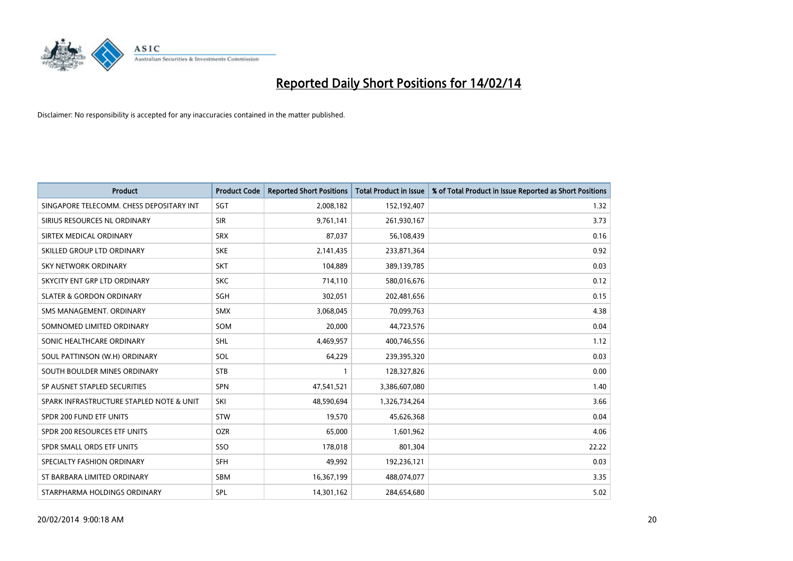

| <b>Product</b>                           | <b>Product Code</b> | <b>Reported Short Positions</b> | <b>Total Product in Issue</b> | % of Total Product in Issue Reported as Short Positions |
|------------------------------------------|---------------------|---------------------------------|-------------------------------|---------------------------------------------------------|
| SINGAPORE TELECOMM. CHESS DEPOSITARY INT | <b>SGT</b>          | 2,008,182                       | 152,192,407                   | 1.32                                                    |
| SIRIUS RESOURCES NL ORDINARY             | <b>SIR</b>          | 9,761,141                       | 261,930,167                   | 3.73                                                    |
| SIRTEX MEDICAL ORDINARY                  | <b>SRX</b>          | 87,037                          | 56,108,439                    | 0.16                                                    |
| SKILLED GROUP LTD ORDINARY               | <b>SKE</b>          | 2,141,435                       | 233,871,364                   | 0.92                                                    |
| <b>SKY NETWORK ORDINARY</b>              | <b>SKT</b>          | 104,889                         | 389,139,785                   | 0.03                                                    |
| SKYCITY ENT GRP LTD ORDINARY             | <b>SKC</b>          | 714,110                         | 580,016,676                   | 0.12                                                    |
| <b>SLATER &amp; GORDON ORDINARY</b>      | SGH                 | 302,051                         | 202,481,656                   | 0.15                                                    |
| SMS MANAGEMENT. ORDINARY                 | <b>SMX</b>          | 3,068,045                       | 70,099,763                    | 4.38                                                    |
| SOMNOMED LIMITED ORDINARY                | SOM                 | 20,000                          | 44,723,576                    | 0.04                                                    |
| SONIC HEALTHCARE ORDINARY                | <b>SHL</b>          | 4,469,957                       | 400,746,556                   | 1.12                                                    |
| SOUL PATTINSON (W.H) ORDINARY            | SOL                 | 64,229                          | 239,395,320                   | 0.03                                                    |
| SOUTH BOULDER MINES ORDINARY             | <b>STB</b>          | $\mathbf{1}$                    | 128,327,826                   | 0.00                                                    |
| SP AUSNET STAPLED SECURITIES             | <b>SPN</b>          | 47,541,521                      | 3,386,607,080                 | 1.40                                                    |
| SPARK INFRASTRUCTURE STAPLED NOTE & UNIT | SKI                 | 48,590,694                      | 1,326,734,264                 | 3.66                                                    |
| SPDR 200 FUND ETF UNITS                  | <b>STW</b>          | 19,570                          | 45,626,368                    | 0.04                                                    |
| SPDR 200 RESOURCES ETF UNITS             | <b>OZR</b>          | 65,000                          | 1,601,962                     | 4.06                                                    |
| SPDR SMALL ORDS ETF UNITS                | SSO                 | 178,018                         | 801,304                       | 22.22                                                   |
| SPECIALTY FASHION ORDINARY               | <b>SFH</b>          | 49,992                          | 192,236,121                   | 0.03                                                    |
| ST BARBARA LIMITED ORDINARY              | <b>SBM</b>          | 16,367,199                      | 488,074,077                   | 3.35                                                    |
| STARPHARMA HOLDINGS ORDINARY             | SPL                 | 14,301,162                      | 284,654,680                   | 5.02                                                    |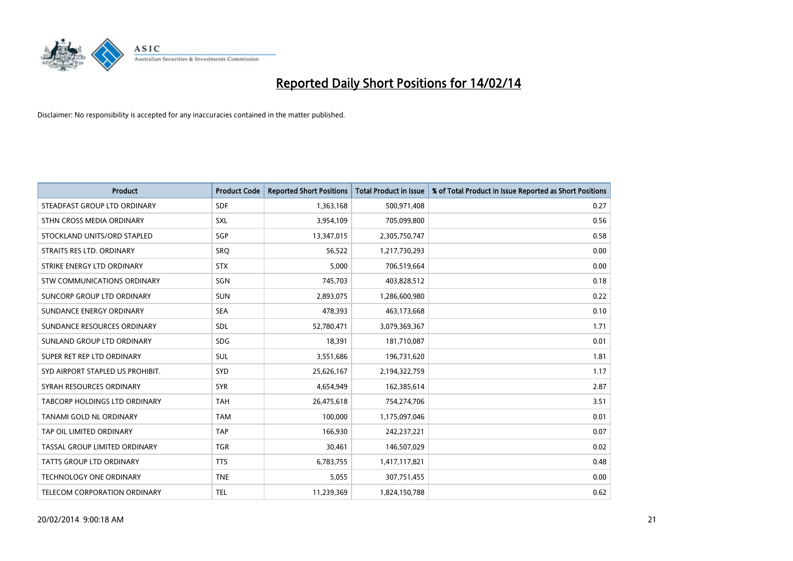

| <b>Product</b>                       | <b>Product Code</b> | <b>Reported Short Positions</b> | <b>Total Product in Issue</b> | % of Total Product in Issue Reported as Short Positions |
|--------------------------------------|---------------------|---------------------------------|-------------------------------|---------------------------------------------------------|
| STEADFAST GROUP LTD ORDINARY         | <b>SDF</b>          | 1,363,168                       | 500,971,408                   | 0.27                                                    |
| STHN CROSS MEDIA ORDINARY            | <b>SXL</b>          | 3,954,109                       | 705,099,800                   | 0.56                                                    |
| STOCKLAND UNITS/ORD STAPLED          | SGP                 | 13,347,015                      | 2,305,750,747                 | 0.58                                                    |
| STRAITS RES LTD. ORDINARY            | <b>SRQ</b>          | 56,522                          | 1,217,730,293                 | 0.00                                                    |
| STRIKE ENERGY LTD ORDINARY           | <b>STX</b>          | 5,000                           | 706,519,664                   | 0.00                                                    |
| STW COMMUNICATIONS ORDINARY          | SGN                 | 745,703                         | 403,828,512                   | 0.18                                                    |
| SUNCORP GROUP LTD ORDINARY           | <b>SUN</b>          | 2,893,075                       | 1,286,600,980                 | 0.22                                                    |
| SUNDANCE ENERGY ORDINARY             | <b>SEA</b>          | 478,393                         | 463,173,668                   | 0.10                                                    |
| SUNDANCE RESOURCES ORDINARY          | SDL                 | 52,780,471                      | 3,079,369,367                 | 1.71                                                    |
| SUNLAND GROUP LTD ORDINARY           | <b>SDG</b>          | 18,391                          | 181,710,087                   | 0.01                                                    |
| SUPER RET REP LTD ORDINARY           | SUL                 | 3,551,686                       | 196,731,620                   | 1.81                                                    |
| SYD AIRPORT STAPLED US PROHIBIT.     | <b>SYD</b>          | 25,626,167                      | 2,194,322,759                 | 1.17                                                    |
| SYRAH RESOURCES ORDINARY             | <b>SYR</b>          | 4,654,949                       | 162,385,614                   | 2.87                                                    |
| <b>TABCORP HOLDINGS LTD ORDINARY</b> | <b>TAH</b>          | 26,475,618                      | 754,274,706                   | 3.51                                                    |
| TANAMI GOLD NL ORDINARY              | <b>TAM</b>          | 100,000                         | 1,175,097,046                 | 0.01                                                    |
| TAP OIL LIMITED ORDINARY             | <b>TAP</b>          | 166,930                         | 242,237,221                   | 0.07                                                    |
| TASSAL GROUP LIMITED ORDINARY        | <b>TGR</b>          | 30,461                          | 146,507,029                   | 0.02                                                    |
| <b>TATTS GROUP LTD ORDINARY</b>      | <b>TTS</b>          | 6,783,755                       | 1,417,117,821                 | 0.48                                                    |
| <b>TECHNOLOGY ONE ORDINARY</b>       | <b>TNE</b>          | 5,055                           | 307,751,455                   | 0.00                                                    |
| TELECOM CORPORATION ORDINARY         | <b>TEL</b>          | 11,239,369                      | 1,824,150,788                 | 0.62                                                    |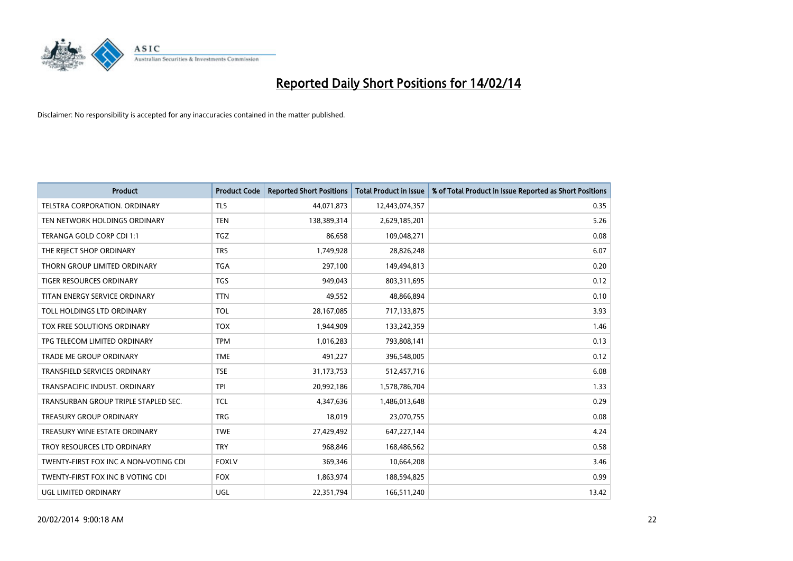

| <b>Product</b>                        | <b>Product Code</b> | <b>Reported Short Positions</b> | <b>Total Product in Issue</b> | % of Total Product in Issue Reported as Short Positions |
|---------------------------------------|---------------------|---------------------------------|-------------------------------|---------------------------------------------------------|
| <b>TELSTRA CORPORATION, ORDINARY</b>  | <b>TLS</b>          | 44,071,873                      | 12,443,074,357                | 0.35                                                    |
| TEN NETWORK HOLDINGS ORDINARY         | <b>TEN</b>          | 138,389,314                     | 2,629,185,201                 | 5.26                                                    |
| TERANGA GOLD CORP CDI 1:1             | <b>TGZ</b>          | 86,658                          | 109,048,271                   | 0.08                                                    |
| THE REJECT SHOP ORDINARY              | <b>TRS</b>          | 1,749,928                       | 28,826,248                    | 6.07                                                    |
| THORN GROUP LIMITED ORDINARY          | <b>TGA</b>          | 297,100                         | 149,494,813                   | 0.20                                                    |
| <b>TIGER RESOURCES ORDINARY</b>       | <b>TGS</b>          | 949,043                         | 803,311,695                   | 0.12                                                    |
| TITAN ENERGY SERVICE ORDINARY         | <b>TTN</b>          | 49,552                          | 48,866,894                    | 0.10                                                    |
| TOLL HOLDINGS LTD ORDINARY            | <b>TOL</b>          | 28,167,085                      | 717,133,875                   | 3.93                                                    |
| TOX FREE SOLUTIONS ORDINARY           | <b>TOX</b>          | 1,944,909                       | 133,242,359                   | 1.46                                                    |
| TPG TELECOM LIMITED ORDINARY          | <b>TPM</b>          | 1,016,283                       | 793,808,141                   | 0.13                                                    |
| TRADE ME GROUP ORDINARY               | <b>TME</b>          | 491,227                         | 396,548,005                   | 0.12                                                    |
| TRANSFIELD SERVICES ORDINARY          | <b>TSE</b>          | 31,173,753                      | 512,457,716                   | 6.08                                                    |
| TRANSPACIFIC INDUST. ORDINARY         | <b>TPI</b>          | 20,992,186                      | 1,578,786,704                 | 1.33                                                    |
| TRANSURBAN GROUP TRIPLE STAPLED SEC.  | <b>TCL</b>          | 4,347,636                       | 1,486,013,648                 | 0.29                                                    |
| <b>TREASURY GROUP ORDINARY</b>        | <b>TRG</b>          | 18,019                          | 23,070,755                    | 0.08                                                    |
| TREASURY WINE ESTATE ORDINARY         | <b>TWE</b>          | 27,429,492                      | 647,227,144                   | 4.24                                                    |
| TROY RESOURCES LTD ORDINARY           | <b>TRY</b>          | 968,846                         | 168,486,562                   | 0.58                                                    |
| TWENTY-FIRST FOX INC A NON-VOTING CDI | <b>FOXLV</b>        | 369,346                         | 10,664,208                    | 3.46                                                    |
| TWENTY-FIRST FOX INC B VOTING CDI     | <b>FOX</b>          | 1,863,974                       | 188,594,825                   | 0.99                                                    |
| UGL LIMITED ORDINARY                  | UGL                 | 22,351,794                      | 166,511,240                   | 13.42                                                   |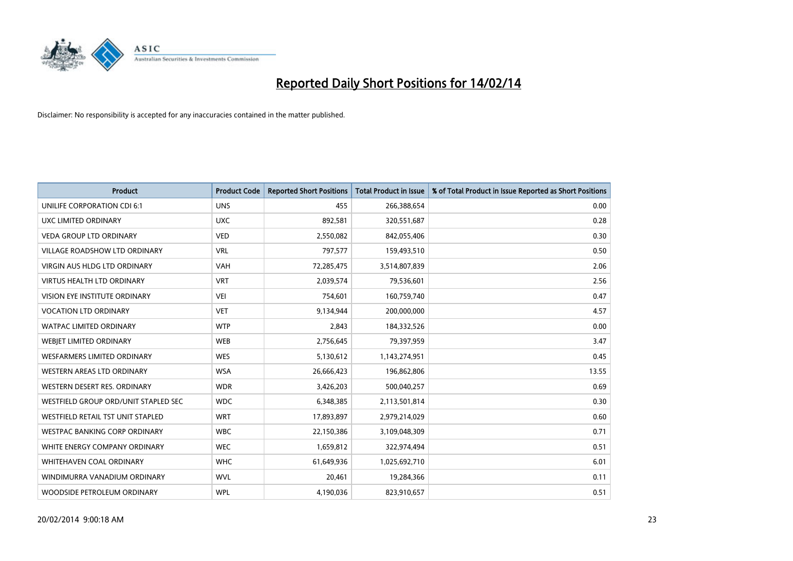

| <b>Product</b>                       | <b>Product Code</b> | <b>Reported Short Positions</b> | <b>Total Product in Issue</b> | % of Total Product in Issue Reported as Short Positions |
|--------------------------------------|---------------------|---------------------------------|-------------------------------|---------------------------------------------------------|
| UNILIFE CORPORATION CDI 6:1          | <b>UNS</b>          | 455                             | 266,388,654                   | 0.00                                                    |
| UXC LIMITED ORDINARY                 | <b>UXC</b>          | 892,581                         | 320,551,687                   | 0.28                                                    |
| <b>VEDA GROUP LTD ORDINARY</b>       | <b>VED</b>          | 2,550,082                       | 842,055,406                   | 0.30                                                    |
| VILLAGE ROADSHOW LTD ORDINARY        | <b>VRL</b>          | 797,577                         | 159,493,510                   | 0.50                                                    |
| <b>VIRGIN AUS HLDG LTD ORDINARY</b>  | <b>VAH</b>          | 72,285,475                      | 3,514,807,839                 | 2.06                                                    |
| <b>VIRTUS HEALTH LTD ORDINARY</b>    | <b>VRT</b>          | 2,039,574                       | 79,536,601                    | 2.56                                                    |
| VISION EYE INSTITUTE ORDINARY        | VEI                 | 754,601                         | 160,759,740                   | 0.47                                                    |
| <b>VOCATION LTD ORDINARY</b>         | <b>VET</b>          | 9,134,944                       | 200,000,000                   | 4.57                                                    |
| <b>WATPAC LIMITED ORDINARY</b>       | <b>WTP</b>          | 2,843                           | 184,332,526                   | 0.00                                                    |
| WEBIET LIMITED ORDINARY              | <b>WEB</b>          | 2,756,645                       | 79,397,959                    | 3.47                                                    |
| <b>WESFARMERS LIMITED ORDINARY</b>   | <b>WES</b>          | 5,130,612                       | 1,143,274,951                 | 0.45                                                    |
| <b>WESTERN AREAS LTD ORDINARY</b>    | <b>WSA</b>          | 26,666,423                      | 196,862,806                   | 13.55                                                   |
| WESTERN DESERT RES. ORDINARY         | <b>WDR</b>          | 3,426,203                       | 500,040,257                   | 0.69                                                    |
| WESTFIELD GROUP ORD/UNIT STAPLED SEC | <b>WDC</b>          | 6,348,385                       | 2,113,501,814                 | 0.30                                                    |
| WESTFIELD RETAIL TST UNIT STAPLED    | <b>WRT</b>          | 17,893,897                      | 2,979,214,029                 | 0.60                                                    |
| <b>WESTPAC BANKING CORP ORDINARY</b> | <b>WBC</b>          | 22,150,386                      | 3,109,048,309                 | 0.71                                                    |
| WHITE ENERGY COMPANY ORDINARY        | <b>WEC</b>          | 1,659,812                       | 322,974,494                   | 0.51                                                    |
| <b>WHITEHAVEN COAL ORDINARY</b>      | <b>WHC</b>          | 61,649,936                      | 1,025,692,710                 | 6.01                                                    |
| WINDIMURRA VANADIUM ORDINARY         | <b>WVL</b>          | 20,461                          | 19,284,366                    | 0.11                                                    |
| WOODSIDE PETROLEUM ORDINARY          | <b>WPL</b>          | 4,190,036                       | 823,910,657                   | 0.51                                                    |